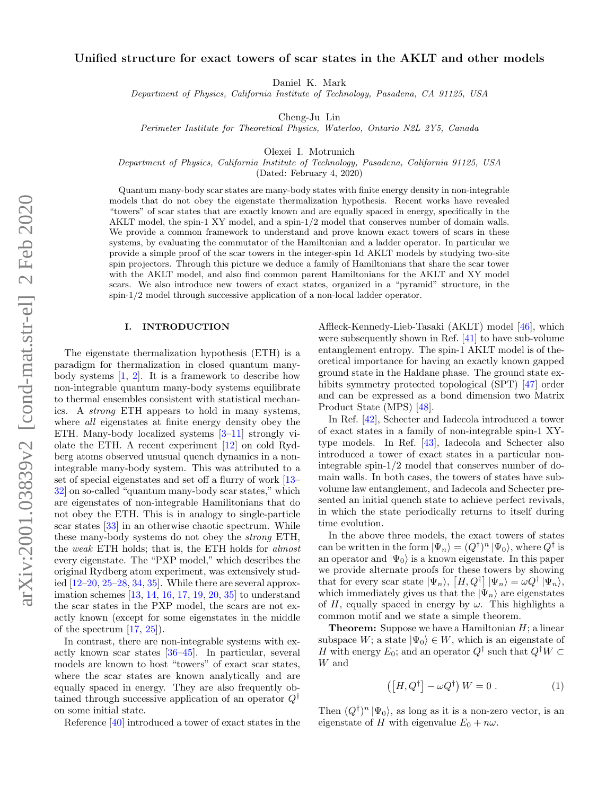# Unified structure for exact towers of scar states in the AKLT and other models

Daniel K. Mark

Department of Physics, California Institute of Technology, Pasadena, CA 91125, USA

Cheng-Ju Lin

Perimeter Institute for Theoretical Physics, Waterloo, Ontario N2L 2Y5, Canada

Olexei I. Motrunich

Department of Physics, California Institute of Technology, Pasadena, California 91125, USA

(Dated: February 4, 2020)

Quantum many-body scar states are many-body states with finite energy density in non-integrable models that do not obey the eigenstate thermalization hypothesis. Recent works have revealed "towers" of scar states that are exactly known and are equally spaced in energy, specifically in the AKLT model, the spin-1 XY model, and a spin-1/2 model that conserves number of domain walls. We provide a common framework to understand and prove known exact towers of scars in these systems, by evaluating the commutator of the Hamiltonian and a ladder operator. In particular we provide a simple proof of the scar towers in the integer-spin 1d AKLT models by studying two-site spin projectors. Through this picture we deduce a family of Hamiltonians that share the scar tower with the AKLT model, and also find common parent Hamiltonians for the AKLT and XY model scars. We also introduce new towers of exact states, organized in a "pyramid" structure, in the spin-1/2 model through successive application of a non-local ladder operator.

# I. INTRODUCTION

The eigenstate thermalization hypothesis (ETH) is a paradigm for thermalization in closed quantum manybody systems [\[1,](#page-16-0) [2\]](#page-16-1). It is a framework to describe how non-integrable quantum many-body systems equilibrate to thermal ensembles consistent with statistical mechanics. A strong ETH appears to hold in many systems, where all eigenstates at finite energy density obey the ETH. Many-body localized systems [\[3](#page-16-2)[–11\]](#page-16-3) strongly violate the ETH. A recent experiment [\[12\]](#page-16-4) on cold Rydberg atoms observed unusual quench dynamics in a nonintegrable many-body system. This was attributed to a set of special eigenstates and set off a flurry of work [\[13–](#page-16-5) [32\]](#page-16-6) on so-called "quantum many-body scar states," which are eigenstates of non-integrable Hamilitonians that do not obey the ETH. This is in analogy to single-particle scar states [\[33\]](#page-16-7) in an otherwise chaotic spectrum. While these many-body systems do not obey the strong ETH, the weak ETH holds; that is, the ETH holds for almost every eigenstate. The "PXP model," which describes the original Rydberg atom experiment, was extensively studied  $[12-20, 25-28, 34, 35]$  $[12-20, 25-28, 34, 35]$  $[12-20, 25-28, 34, 35]$  $[12-20, 25-28, 34, 35]$  $[12-20, 25-28, 34, 35]$  $[12-20, 25-28, 34, 35]$  $[12-20, 25-28, 34, 35]$  $[12-20, 25-28, 34, 35]$ . While there are several approximation schemes [\[13,](#page-16-5) [14,](#page-16-13) [16,](#page-16-14) [17,](#page-16-15) [19,](#page-16-16) [20,](#page-16-8) [35\]](#page-16-12) to understand the scar states in the PXP model, the scars are not exactly known (except for some eigenstates in the middle of the spectrum  $[17, 25]$  $[17, 25]$  $[17, 25]$ .

In contrast, there are non-integrable systems with exactly known scar states [\[36–](#page-16-17)[45\]](#page-16-18). In particular, several models are known to host "towers" of exact scar states, where the scar states are known analytically and are equally spaced in energy. They are also frequently obtained through successive application of an operator  $Q^{\dagger}$ on some initial state.

Reference [\[40\]](#page-16-19) introduced a tower of exact states in the

Affleck-Kennedy-Lieb-Tasaki (AKLT) model [\[46\]](#page-16-20), which were subsequently shown in Ref. [\[41\]](#page-16-21) to have sub-volume entanglement entropy. The spin-1 AKLT model is of theoretical importance for having an exactly known gapped ground state in the Haldane phase. The ground state exhibits symmetry protected topological (SPT) [\[47\]](#page-16-22) order and can be expressed as a bond dimension two Matrix Product State (MPS) [\[48\]](#page-16-23).

In Ref. [\[42\]](#page-16-24), Schecter and Iadecola introduced a tower of exact states in a family of non-integrable spin-1 XYtype models. In Ref. [\[43\]](#page-16-25), Iadecola and Schecter also introduced a tower of exact states in a particular nonintegrable spin-1/2 model that conserves number of domain walls. In both cases, the towers of states have subvolume law entanglement, and Iadecola and Schecter presented an initial quench state to achieve perfect revivals, in which the state periodically returns to itself during time evolution.

In the above three models, the exact towers of states can be written in the form  $|\Psi_n\rangle = (Q^{\dagger})^n |\Psi_0\rangle$ , where  $Q^{\dagger}$  is an operator and  $|\Psi_0\rangle$  is a known eigenstate. In this paper we provide alternate proofs for these towers by showing that for every scar state  $|\Psi_n\rangle$ ,  $[H, Q^{\dagger}] |\Psi_n\rangle = \omega Q^{\dagger} |\Psi_n\rangle$ , which immediately gives us that the  $|\Psi_n\rangle$  are eigenstates of H, equally spaced in energy by  $\omega$ . This highlights a common motif and we state a simple theorem.

**Theorem:** Suppose we have a Hamiltonian  $H$ ; a linear subspace W; a state  $|\Psi_0\rangle \in W$ , which is an eigenstate of H with energy  $E_0$ ; and an operator  $Q^{\dagger}$  such that  $Q^{\dagger}W \subset$ W and

<span id="page-0-0"></span>
$$
\left( \left[ H, Q^{\dagger} \right] - \omega Q^{\dagger} \right) W = 0 \ . \tag{1}
$$

Then  $(Q^{\dagger})^n | \Psi_0 \rangle$ , as long as it is a non-zero vector, is an eigenstate of H with eigenvalue  $E_0 + n\omega$ .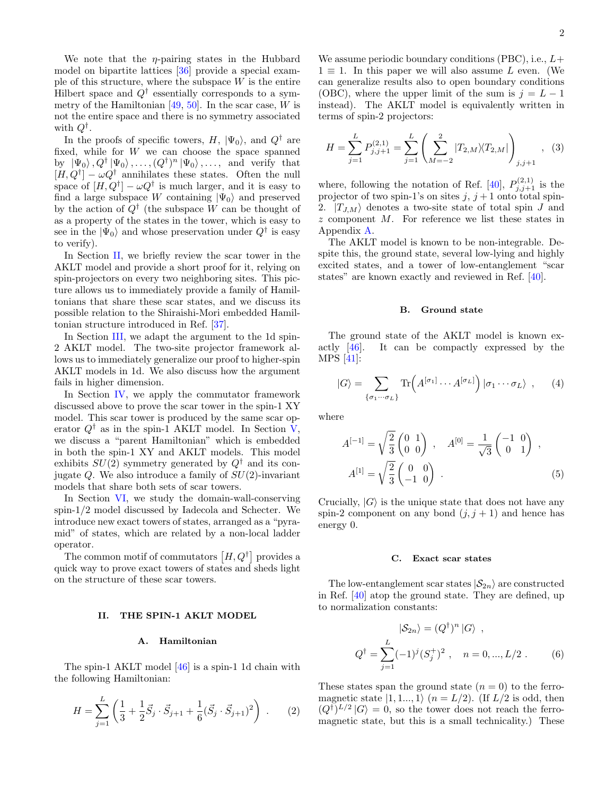We note that the  $\eta$ -pairing states in the Hubbard model on bipartite lattices [\[36\]](#page-16-17) provide a special example of this structure, where the subspace  $W$  is the entire Hilbert space and  $Q^{\dagger}$  essentially corresponds to a symmetry of the Hamiltonian  $[49, 50]$  $[49, 50]$  $[49, 50]$ . In the scar case, W is not the entire space and there is no symmetry associated with  $Q^{\dagger}$ .

In the proofs of specific towers,  $H$ ,  $|\Psi_0\rangle$ , and  $Q^{\dagger}$  are fixed, while for  $W$  we can choose the space spanned by  $|\Psi_0\rangle, Q^{\dagger} |\Psi_0\rangle, \ldots, (Q^{\dagger})^n |\Psi_0\rangle, \ldots$ , and verify that  $[H, Q^{\dagger}] - \omega Q^{\dagger}$  annihilates these states. Often the null space of  $[H, Q^{\dagger}] - \omega Q^{\dagger}$  is much larger, and it is easy to find a large subspace W containing  $|\Psi_0\rangle$  and preserved by the action of  $Q^{\dagger}$  (the subspace W can be thought of as a property of the states in the tower, which is easy to see in the  $|\Psi_0\rangle$  and whose preservation under  $Q^{\dagger}$  is easy to verify).

In Section [II,](#page-1-0) we briefly review the scar tower in the AKLT model and provide a short proof for it, relying on spin-projectors on every two neighboring sites. This picture allows us to immediately provide a family of Hamiltonians that share these scar states, and we discuss its possible relation to the Shiraishi-Mori embedded Hamiltonian structure introduced in Ref. [\[37\]](#page-16-28).

In Section [III,](#page-3-0) we adapt the argument to the 1d spin-2 AKLT model. The two-site projector framework allows us to immediately generalize our proof to higher-spin AKLT models in 1d. We also discuss how the argument fails in higher dimension.

In Section [IV,](#page-5-0) we apply the commutator framework discussed above to prove the scar tower in the spin-1 XY model. This scar tower is produced by the same scar operator  $Q^{\dagger}$  as in the spin-1 AKLT model. In Section [V,](#page-7-0) we discuss a "parent Hamiltonian" which is embedded in both the spin-1 XY and AKLT models. This model exhibits  $SU(2)$  symmetry generated by  $Q^{\dagger}$  and its conjugate  $Q$ . We also introduce a family of  $SU(2)$ -invariant models that share both sets of scar towers.

In Section [VI,](#page-8-0) we study the domain-wall-conserving spin-1/2 model discussed by Iadecola and Schecter. We introduce new exact towers of states, arranged as a "pyramid" of states, which are related by a non-local ladder operator.

The common motif of commutators  $[H, Q^{\dagger}]$  provides a quick way to prove exact towers of states and sheds light on the structure of these scar towers.

## <span id="page-1-0"></span>II. THE SPIN-1 AKLT MODEL

## A. Hamiltonian

The spin-1 AKLT model [\[46\]](#page-16-20) is a spin-1 1d chain with the following Hamiltonian:

$$
H = \sum_{j=1}^{L} \left( \frac{1}{3} + \frac{1}{2} \vec{S}_j \cdot \vec{S}_{j+1} + \frac{1}{6} (\vec{S}_j \cdot \vec{S}_{j+1})^2 \right) . \tag{2}
$$

We assume periodic boundary conditions (PBC), i.e.,  $L+$  $1 \equiv 1$ . In this paper we will also assume L even. (We can generalize results also to open boundary conditions (OBC), where the upper limit of the sum is  $j = L - 1$ instead). The AKLT model is equivalently written in terms of spin-2 projectors:

$$
H = \sum_{j=1}^{L} P_{j,j+1}^{(2,1)} = \sum_{j=1}^{L} \left( \sum_{M=-2}^{2} |T_{2,M} \rangle \langle T_{2,M} | \right)_{j,j+1}, \quad (3)
$$

where, following the notation of Ref. [\[40\]](#page-16-19),  $P_{j,j+1}^{(2,1)}$  is the projector of two spin-1's on sites  $j, j+1$  onto total spin-2.  $|T_{J,M}\rangle$  denotes a two-site state of total spin J and z component M. For reference we list these states in Appendix [A.](#page-12-0)

The AKLT model is known to be non-integrable. Despite this, the ground state, several low-lying and highly excited states, and a tower of low-entanglement "scar states" are known exactly and reviewed in Ref. [\[40\]](#page-16-19).

#### B. Ground state

The ground state of the AKLT model is known exactly [\[46\]](#page-16-20). It can be compactly expressed by the MPS [\[41\]](#page-16-21):

$$
|G\rangle = \sum_{\{\sigma_1\cdots\sigma_L\}} \text{Tr}\Big(A^{[\sigma_1]}\cdots A^{[\sigma_L]}\Big) | \sigma_1\cdots\sigma_L\rangle , \qquad (4)
$$

where

$$
A^{[-1]} = \sqrt{\frac{2}{3}} \begin{pmatrix} 0 & 1 \\ 0 & 0 \end{pmatrix} , A^{[0]} = \frac{1}{\sqrt{3}} \begin{pmatrix} -1 & 0 \\ 0 & 1 \end{pmatrix} ,
$$
  

$$
A^{[1]} = \sqrt{\frac{2}{3}} \begin{pmatrix} 0 & 0 \\ -1 & 0 \end{pmatrix} .
$$
 (5)

Crucially,  $|G\rangle$  is the unique state that does not have any spin-2 component on any bond  $(j, j + 1)$  and hence has energy 0.

#### <span id="page-1-2"></span><span id="page-1-1"></span>C. Exact scar states

The low-entanglement scar states  $|S_{2n}\rangle$  are constructed in Ref. [\[40\]](#page-16-19) atop the ground state. They are defined, up to normalization constants:

$$
|S_{2n}\rangle = (Q^{\dagger})^n |G\rangle ,
$$
  
\n
$$
Q^{\dagger} = \sum_{j=1}^{L} (-1)^j (S_j^{\dagger})^2 , \quad n = 0, ..., L/2 .
$$
 (6)

These states span the ground state  $(n = 0)$  to the ferromagnetic state  $|1, 1, \ldots, 1\rangle$   $(n = L/2)$ . (If  $L/2$  is odd, then  $(Q^{\dagger})^{L/2} |G\rangle = 0$ , so the tower does not reach the ferromagnetic state, but this is a small technicality.) These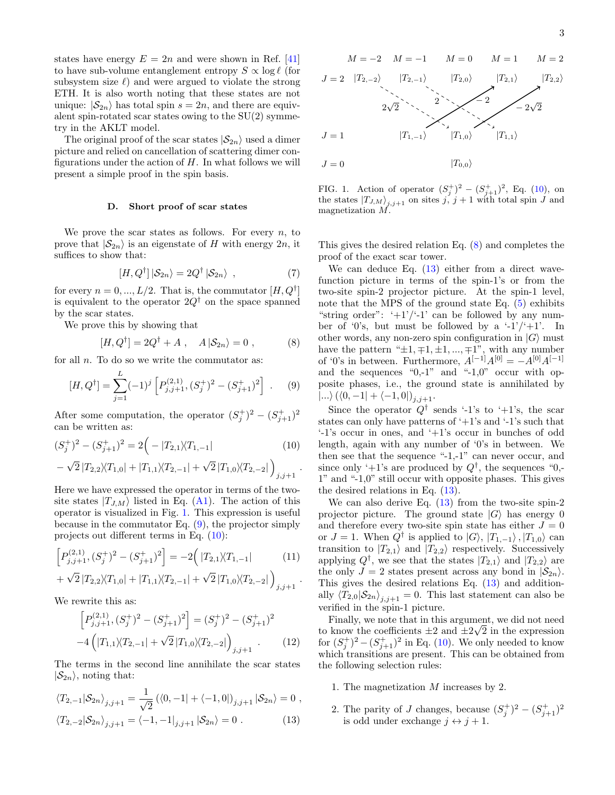states have energy  $E = 2n$  and were shown in Ref. [\[41\]](#page-16-21) to have sub-volume entanglement entropy  $S \propto \log \ell$  (for subsystem size  $\ell$ ) and were argued to violate the strong ETH. It is also worth noting that these states are not unique:  $|S_{2n}\rangle$  has total spin  $s = 2n$ , and there are equivalent spin-rotated scar states owing to the SU(2) symmetry in the AKLT model.

The original proof of the scar states  $|S_{2n}\rangle$  used a dimer picture and relied on cancellation of scattering dimer configurations under the action of  $H$ . In what follows we will present a simple proof in the spin basis.

## D. Short proof of scar states

We prove the scar states as follows. For every  $n$ , to prove that  $|S_{2n}\rangle$  is an eigenstate of H with energy  $2n$ , it suffices to show that:

$$
[H, Q^{\dagger}] |S_{2n}\rangle = 2Q^{\dagger} |S_{2n}\rangle , \qquad (7)
$$

for every  $n = 0, ..., L/2$ . That is, the commutator  $[H, Q^{\dagger}]$ is equivalent to the operator  $2Q^{\dagger}$  on the space spanned by the scar states.

We prove this by showing that

<span id="page-2-3"></span>
$$
[H, Q^{\dagger}] = 2Q^{\dagger} + A , A |S_{2n}\rangle = 0 , \qquad (8)
$$

for all  $n$ . To do so we write the commutator as:

<span id="page-2-1"></span>
$$
[H, Q^{\dagger}] = \sum_{j=1}^{L} (-1)^{j} \left[ P_{j,j+1}^{(2,1)}, (S_{j}^{+})^{2} - (S_{j+1}^{+})^{2} \right] . \tag{9}
$$

After some computation, the operator  $(S_j^+)^2 - (S_{j+1}^+)^2$ can be written as:

$$
(S_j^+)^2 - (S_{j+1}^+)^2 = 2\Big(-|T_{2,1}\rangle\langle T_{1,-1}|
$$
\n
$$
-\sqrt{2}|T_{2,2}\rangle\langle T_{1,0}| + |T_{1,1}\rangle\langle T_{2,-1}| + \sqrt{2}|T_{1,0}\rangle\langle T_{2,-2}| \Big)_{j,j+1}.
$$
\n(10)

Here we have expressed the operator in terms of the twosite states  $|T_{J,M}\rangle$  listed in Eq. [\(A1\)](#page-12-1). The action of this operator is visualized in Fig. [1.](#page-2-0) This expression is useful because in the commutator Eq.  $(9)$ , the projector simply projects out different terms in Eq. [\(10\)](#page-2-2):

$$
\[P_{j,j+1}^{(2,1)}, (S_j^+)^2 - (S_{j+1}^+)^2\] = -2\Big(|T_{2,1}\rangle\langle T_{1,-1}|
$$
\n(11)

+ 
$$
\sqrt{2} |T_{2,2}\rangle\langle T_{1,0}| + |T_{1,1}\rangle\langle T_{2,-1}| + \sqrt{2} |T_{1,0}\rangle\langle T_{2,-2}| \big)_{j,j+1}
$$
.

We rewrite this as:

$$
\[P_{j,j+1}^{(2,1)},(S_j^+)^2 - (S_{j+1}^+)^2\] = (S_j^+)^2 - (S_{j+1}^+)^2
$$
  

$$
-4\left(|T_{1,1}\rangle\langle T_{2,-1}| + \sqrt{2}|T_{1,0}\rangle\langle T_{2,-2}| \right)_{j,j+1}.
$$
 (12)

The terms in the second line annihilate the scar states  $|S_{2n}\rangle$ , noting that:

$$
\langle T_{2,-1} | S_{2n} \rangle_{j,j+1} = \frac{1}{\sqrt{2}} \left( \langle 0, -1 | + \langle -1, 0 | \rangle_{j,j+1} | S_{2n} \rangle = 0 \right),
$$
  

$$
\langle T_{2,-2} | S_{2n} \rangle_{j,j+1} = \langle -1, -1 |_{j,j+1} | S_{2n} \rangle = 0.
$$
 (13)



<span id="page-2-0"></span>FIG. 1. Action of operator  $(S_j^+)^2 - (S_{j+1}^+)^2$ , Eq. [\(10\)](#page-2-2), on FIG. 1. Action of operator  $(S_j) = (S_{j+1})$ , Eq. (10), on<br>the states  $|T_{J,M}\rangle_{j,j+1}$  on sites j, j + 1 with total spin J and magnetization M.

This gives the desired relation Eq. [\(8\)](#page-2-3) and completes the proof of the exact scar tower.

We can deduce Eq.  $(13)$  either from a direct wavefunction picture in terms of the spin-1's or from the two-site spin-2 projector picture. At the spin-1 level, note that the MPS of the ground state Eq. [\(5\)](#page-1-1) exhibits "string order":  $+1$ '/'-1' can be followed by any number of '0's, but must be followed by a '-1'/'+1'. In other words, any non-zero spin configuration in  $|G\rangle$  must have the pattern " $\pm 1, \mp 1, \pm 1, ..., \mp 1$ ", with any number of '0's in between. Furthermore,  $A^{[-1]}A^{[0]} = -A^{[0]}A^{[-1]}$ and the sequences " $0,-1$ " and " $-1,0$ " occur with opposite phases, i.e., the ground state is annihilated by  $\ket{...\}(\bra{0}, -1] + \bra{-1, 0}]_{j, j+1}.$ 

<span id="page-2-2"></span>Since the operator  $Q^{\dagger}$  sends '-1's to '+1's, the scar states can only have patterns of  $+1$ 's and  $-1$ 's such that '-1's occur in ones, and '+1's occur in bunches of odd length, again with any number of '0's in between. We then see that the sequence "-1,-1" can never occur, and since only '+1's are produced by  $Q^{\dagger}$ , the sequences "0,-1" and "-1,0" still occur with opposite phases. This gives the desired relations in Eq. [\(13\)](#page-2-4).

We can also derive Eq.  $(13)$  from the two-site spin-2 projector picture. The ground state  $|G\rangle$  has energy 0 and therefore every two-site spin state has either  $J = 0$ or  $J = 1$ . When  $Q^{\dagger}$  is applied to  $|G\rangle$ ,  $|T_{1,-1}\rangle$ ,  $|T_{1,0}\rangle$  can transition to  $|T_{2,1}\rangle$  and  $|T_{2,2}\rangle$  respectively. Successively applying  $Q^{\dagger}$ , we see that the states  $|T_{2,1}\rangle$  and  $|T_{2,2}\rangle$  are the only  $J = 2$  states present across any bond in  $|\mathcal{S}_{2n}\rangle$ . This gives the desired relations Eq. [\(13\)](#page-2-4) and additionally  $\langle T_{2,0} | S_{2n} \rangle_{j,j+1} = 0$ . This last statement can also be verified in the spin-1 picture.

Finally, we note that in this argument, we did not need to know the coefficients  $\pm 2$  and  $\pm 2\sqrt{2}$  in the expression for  $(S_j^+)^2 - (S_{j+1}^+)^2$  in Eq. [\(10\)](#page-2-2). We only needed to know which transitions are present. This can be obtained from the following selection rules:

- 1. The magnetization M increases by 2.
- <span id="page-2-4"></span>2. The parity of J changes, because  $(S_j^+)^2 - (S_{j+1}^+)^2$ is odd under exchange  $j \leftrightarrow j + 1$ .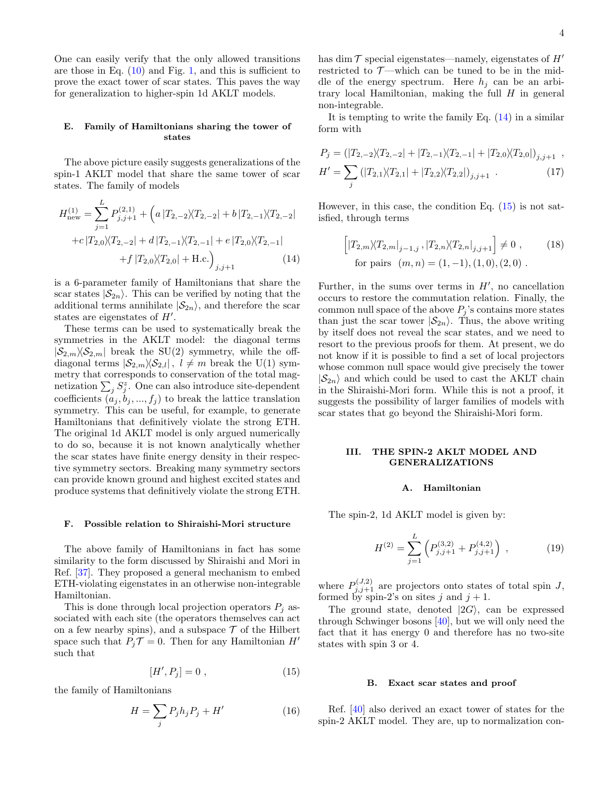One can easily verify that the only allowed transitions are those in Eq.  $(10)$  and Fig. [1,](#page-2-0) and this is sufficient to prove the exact tower of scar states. This paves the way for generalization to higher-spin 1d AKLT models.

#### <span id="page-3-3"></span>E. Family of Hamiltonians sharing the tower of states

The above picture easily suggests generalizations of the spin-1 AKLT model that share the same tower of scar states. The family of models

$$
H_{\text{new}}^{(1)} = \sum_{j=1}^{L} P_{j,j+1}^{(2,1)} + \left( a \left| T_{2,-2} \right\rangle \langle T_{2,-2} \right| + b \left| T_{2,-1} \right\rangle \langle T_{2,-2} \right|
$$

$$
+ c \left| T_{2,0} \right\rangle \langle T_{2,-2} \right| + d \left| T_{2,-1} \right\rangle \langle T_{2,-1} \right| + e \left| T_{2,0} \right\rangle \langle T_{2,-1} \right|
$$

$$
+ f \left| T_{2,0} \right\rangle \langle T_{2,0} \right| + \text{H.c.} \right)_{j,j+1} \tag{14}
$$

is a 6-parameter family of Hamiltonians that share the scar states  $|S_{2n}\rangle$ . This can be verified by noting that the additional terms annihilate  $|S_{2n}\rangle$ , and therefore the scar states are eigenstates of  $H'$ .

These terms can be used to systematically break the symmetries in the AKLT model: the diagonal terms  $|\mathcal{S}_{2,m}\rangle\langle\mathcal{S}_{2,m}|$  break the SU(2) symmetry, while the offdiagonal terms  $|\mathcal{S}_{2,m}\rangle\langle \mathcal{S}_{2,l}|, l \neq m$  break the U(1) symmetry that corresponds to conservation of the total magnetization  $\sum_j S_j^z$ . One can also introduce site-dependent coefficients  $(a_j, b_j, ..., f_j)$  to break the lattice translation symmetry. This can be useful, for example, to generate Hamiltonians that definitively violate the strong ETH. The original 1d AKLT model is only argued numerically to do so, because it is not known analytically whether the scar states have finite energy density in their respective symmetry sectors. Breaking many symmetry sectors can provide known ground and highest excited states and produce systems that definitively violate the strong ETH.

#### F. Possible relation to Shiraishi-Mori structure

The above family of Hamiltonians in fact has some similarity to the form discussed by Shiraishi and Mori in Ref. [\[37\]](#page-16-28). They proposed a general mechanism to embed ETH-violating eigenstates in an otherwise non-integrable Hamiltonian.

This is done through local projection operators  $P_j$  associated with each site (the operators themselves can act on a few nearby spins), and a subspace  $\mathcal T$  of the Hilbert space such that  $P_i \mathcal{T} = 0$ . Then for any Hamiltonian H' such that

<span id="page-3-2"></span>
$$
[H', P_j] = 0 \t\t(15)
$$

the family of Hamiltonians

$$
H = \sum_{j} P_j h_j P_j + H'
$$
 (16)

has dim  $\mathcal T$  special eigenstates—namely, eigenstates of  $H'$ restricted to  $\mathcal{T}$ —which can be tuned to be in the middle of the energy spectrum. Here  $h_i$  can be an arbitrary local Hamiltonian, making the full  $H$  in general non-integrable.

It is tempting to write the family Eq.  $(14)$  in a similar form with

$$
P_j = (|T_{2,-2}\rangle\langle T_{2,-2}| + |T_{2,-1}\rangle\langle T_{2,-1}| + |T_{2,0}\rangle\langle T_{2,0}|)_{j,j+1} ,
$$
  
\n
$$
H' = \sum_j (|T_{2,1}\rangle\langle T_{2,1}| + |T_{2,2}\rangle\langle T_{2,2}|)_{j,j+1} .
$$
\n(17)

However, in this case, the condition Eq.  $(15)$  is not satisfied, through terms

$$
\[|T_{2,m}\rangle\langle T_{2,m}|_{j-1,j}, |T_{2,n}\rangle\langle T_{2,n}|_{j,j+1}\] \neq 0 ,\qquad(18)
$$
  
for pairs  $(m,n) = (1,-1), (1,0), (2,0)$ .

<span id="page-3-1"></span>Further, in the sums over terms in  $H'$ , no cancellation occurs to restore the commutation relation. Finally, the common null space of the above  $P_i$ 's contains more states than just the scar tower  $|S_{2n}\rangle$ . Thus, the above writing by itself does not reveal the scar states, and we need to resort to the previous proofs for them. At present, we do not know if it is possible to find a set of local projectors whose common null space would give precisely the tower  $|S_{2n}\rangle$  and which could be used to cast the AKLT chain in the Shiraishi-Mori form. While this is not a proof, it suggests the possibility of larger families of models with scar states that go beyond the Shiraishi-Mori form.

## <span id="page-3-0"></span>III. THE SPIN-2 AKLT MODEL AND GENERALIZATIONS

#### A. Hamiltonian

The spin-2, 1d AKLT model is given by:

$$
H^{(2)} = \sum_{j=1}^{L} \left( P_{j,j+1}^{(3,2)} + P_{j,j+1}^{(4,2)} \right) , \qquad (19)
$$

where  $P_{j,j+1}^{(J,2)}$  are projectors onto states of total spin J, formed by spin-2's on sites j and  $j + 1$ .

The ground state, denoted  $|2G\rangle$ , can be expressed through Schwinger bosons [\[40\]](#page-16-19), but we will only need the fact that it has energy 0 and therefore has no two-site states with spin 3 or 4.

#### <span id="page-3-4"></span>B. Exact scar states and proof

Ref. [\[40\]](#page-16-19) also derived an exact tower of states for the spin-2 AKLT model. They are, up to normalization con-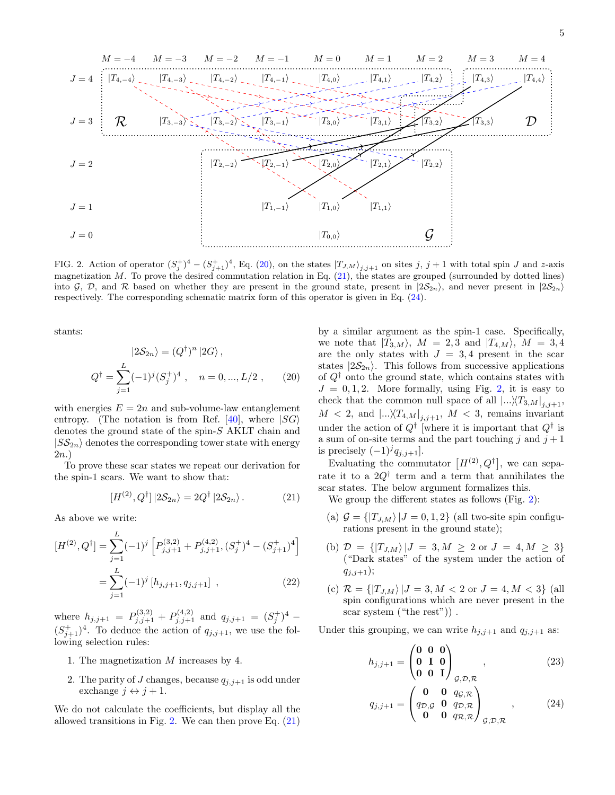

<span id="page-4-3"></span>FIG. 2. Action of operator  $(S_j^+)^4 - (S_{j+1}^+)^4$ , Eq. [\(20\)](#page-4-0), on the states  $|T_{J,M}\rangle_{j,j+1}$  on sites j, j + 1 with total spin J and z-axis magnetization  $M$ . To prove the desired commutation relation in Eq.  $(21)$ , the states are grouped (surrounded by dotted lines) into G, D, and R based on whether they are present in the ground state, present in  $|2\mathcal{S}_{2n}\rangle$ , and never present in  $|2\mathcal{S}_{2n}\rangle$ respectively. The corresponding schematic matrix form of this operator is given in Eq. [\(24\)](#page-4-2).

stants:

$$
|2S_{2n}\rangle = (Q^{\dagger})^n |2G\rangle,
$$
  

$$
Q^{\dagger} = \sum_{j=1}^L (-1)^j (S_j^{\dagger})^4 , \quad n = 0, ..., L/2 , \qquad (20)
$$

with energies  $E = 2n$  and sub-volume-law entanglement entropy. (The notation is from Ref. [\[40\]](#page-16-19), where  $|SG\rangle$ denotes the ground state of the spin-S AKLT chain and  $|S\mathcal{S}_{2n}\rangle$  denotes the corresponding tower state with energy 2n.)

To prove these scar states we repeat our derivation for the spin-1 scars. We want to show that:

<span id="page-4-1"></span>
$$
[H^{(2)}, Q^{\dagger}] |2\mathcal{S}_{2n}\rangle = 2Q^{\dagger} |2\mathcal{S}_{2n}\rangle. \tag{21}
$$

As above we write:

$$
[H^{(2)}, Q^{\dagger}] = \sum_{j=1}^{L} (-1)^{j} \left[ P_{j,j+1}^{(3,2)} + P_{j,j+1}^{(4,2)}, (S_{j}^{+})^{4} - (S_{j+1}^{+})^{4} \right]
$$

$$
= \sum_{j=1}^{L} (-1)^{j} \left[ h_{j,j+1}, q_{j,j+1} \right], \qquad (22)
$$

where  $h_{j,j+1} = P_{j,j+1}^{(3,2)} + P_{j,j+1}^{(4,2)}$  and  $q_{j,j+1} = (S_j^+)^4$  $(S_{j+1}^+)^4$ . To deduce the action of  $q_{j,j+1}$ , we use the following selection rules:

- 1. The magnetization  $M$  increases by 4.
- 2. The parity of J changes, because  $q_{i,j+1}$  is odd under exchange  $j \leftrightarrow j + 1$ .

We do not calculate the coefficients, but display all the allowed transitions in Fig. [2.](#page-4-3) We can then prove Eq.  $(21)$ 

<span id="page-4-0"></span>by a similar argument as the spin-1 case. Specifically, we note that  $|T_{3,M}\rangle$ ,  $M = 2,3$  and  $|T_{4,M}\rangle$ ,  $M = 3,4$ are the only states with  $J = 3, 4$  present in the scar states  $|2\mathcal{S}_{2n}\rangle$ . This follows from successive applications of  $Q^{\dagger}$  onto the ground state, which contains states with  $J = 0, 1, 2$ . More formally, using Fig. [2,](#page-4-3) it is easy to check that the common null space of all  $\left|...\right\rangle T_{3,M}\right|_{j,j+1}$ ,  $M < 2$ , and  $\left|...\right\rangle T_{4,M}\right|_{j,j+1}, M < 3$ , remains invariant under the action of  $Q^{\dagger}$  [where it is important that  $Q^{\dagger}$  is a sum of on-site terms and the part touching j and  $j + 1$ is precisely  $(-1)^{j}q_{j,j+1}$ .

Evaluating the commutator  $[H^{(2)}, Q^{\dagger}]$ , we can separate it to a  $2Q^{\dagger}$  term and a term that annihilates the scar states. The below argument formalizes this.

We group the different states as follows (Fig. [2\)](#page-4-3):

- (a)  $\mathcal{G} = \{ |T_{J,M}\rangle | J = 0,1,2 \}$  (all two-site spin configurations present in the ground state);
- (b)  $\mathcal{D} = \{ |T_{J,M}\rangle | J = 3, M \geq 2 \text{ or } J = 4, M \geq 3 \}$ ("Dark states" of the system under the action of  $q_{j,j+1});$
- (c)  $\mathcal{R} = \{ |T_{J,M}\rangle | J = 3, M < 2 \text{ or } J = 4, M < 3 \}$  (all spin configurations which are never present in the scar system ("the rest")) .

Under this grouping, we can write  $h_{j,j+1}$  and  $q_{j,j+1}$  as:

<span id="page-4-4"></span>
$$
h_{j,j+1} = \begin{pmatrix} 0 & 0 & 0 \\ 0 & I & 0 \\ 0 & 0 & I \end{pmatrix}_{\mathcal{G},\mathcal{D},\mathcal{R}}, \qquad (23)
$$

<span id="page-4-2"></span>
$$
q_{j,j+1} = \begin{pmatrix} 0 & 0 & q_{\mathcal{G}, \mathcal{R}} \\ q_{\mathcal{D}, \mathcal{G}} & 0 & q_{\mathcal{D}, \mathcal{R}} \\ 0 & 0 & q_{\mathcal{R}, \mathcal{R}} \end{pmatrix}_{\mathcal{G}, \mathcal{D}, \mathcal{R}}, \qquad (24)
$$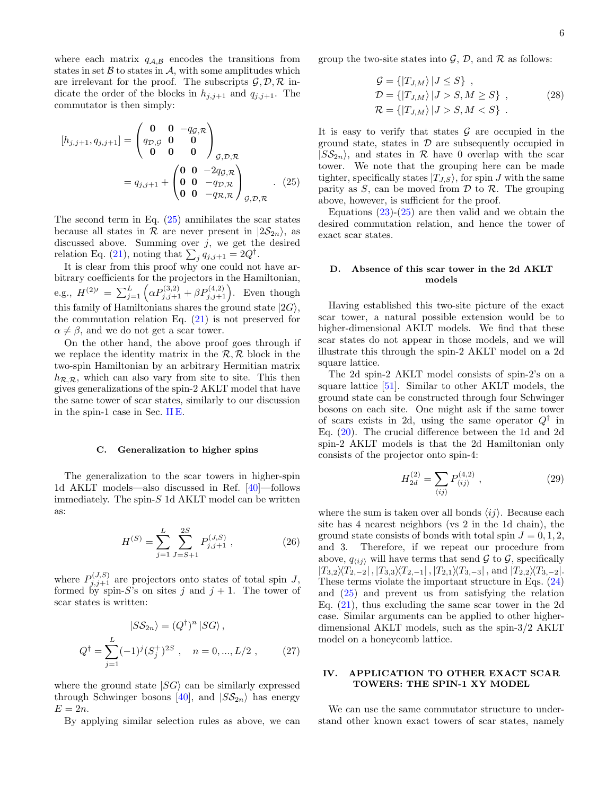where each matrix  $q_{A,B}$  encodes the transitions from states in set  $\beta$  to states in  $\mathcal{A}$ , with some amplitudes which are irrelevant for the proof. The subscripts  $\mathcal{G}, \mathcal{D}, \mathcal{R}$  indicate the order of the blocks in  $h_{j,j+1}$  and  $q_{j,j+1}$ . The commutator is then simply:

$$
[h_{j,j+1}, q_{j,j+1}] = \begin{pmatrix} 0 & 0 & -q_{\mathcal{G}, \mathcal{R}} \\ q_{\mathcal{D}, \mathcal{G}} & 0 & 0 \\ 0 & 0 & 0 \end{pmatrix}_{\mathcal{G}, \mathcal{D}, \mathcal{R}}
$$
  
=  $q_{j,j+1} + \begin{pmatrix} 0 & 0 & -2q_{\mathcal{G}, \mathcal{R}} \\ 0 & 0 & -q_{\mathcal{D}, \mathcal{R}} \\ 0 & 0 & -q_{\mathcal{R}, \mathcal{R}} \end{pmatrix}_{\mathcal{G}, \mathcal{D}, \mathcal{R}}.$  (25)

The second term in Eq.  $(25)$  annihilates the scar states because all states in R are never present in  $|2\mathcal{S}_{2n}\rangle$ , as discussed above. Summing over  $j$ , we get the desired relation Eq. [\(21\)](#page-4-1), noting that  $\sum_{j} q_{j,j+1} = 2Q^{\dagger}$ .

It is clear from this proof why one could not have arbitrary coefficients for the projectors in the Hamiltonian, e.g.,  $H^{(2)'} = \sum_{j=1}^{L} \left( \alpha P_{j,j+1}^{(3,2)} + \beta P_{j,j+1}^{(4,2)} \right)$ . Even though this family of Hamiltonians shares the ground state  $|2G\rangle$ , the commutation relation Eq.  $(21)$  is not preserved for  $\alpha \neq \beta$ , and we do not get a scar tower.

On the other hand, the above proof goes through if we replace the identity matrix in the  $\mathcal{R}, \mathcal{R}$  block in the two-spin Hamiltonian by an arbitrary Hermitian matrix  $h_{\mathcal{R},\mathcal{R}}$ , which can also vary from site to site. This then gives generalizations of the spin-2 AKLT model that have the same tower of scar states, similarly to our discussion in the spin-1 case in Sec. [II E.](#page-3-3)

#### C. Generalization to higher spins

The generalization to the scar towers in higher-spin 1d AKLT models—also discussed in Ref. [\[40\]](#page-16-19)—follows immediately. The spin- $S$  1d AKLT model can be written as:

$$
H^{(S)} = \sum_{j=1}^{L} \sum_{J=S+1}^{2S} P_{j,j+1}^{(J,S)}, \qquad (26)
$$

where  $P_{j,j+1}^{(J,S)}$  are projectors onto states of total spin J, formed by spin-S's on sites j and  $j + 1$ . The tower of scar states is written:

$$
|S\mathcal{S}_{2n}\rangle = (Q^{\dagger})^n |SG\rangle ,
$$
  
\n
$$
Q^{\dagger} = \sum_{j=1}^{L} (-1)^j (S_j^{\dagger})^{2S} , \quad n = 0, ..., L/2 ,
$$
 (27)

where the ground state  $|SG\rangle$  can be similarly expressed through Schwinger bosons [\[40\]](#page-16-19), and  $|SS_{2n}\rangle$  has energy  $E=2n$ .

By applying similar selection rules as above, we can

group the two-site states into  $\mathcal{G}, \mathcal{D}$ , and  $\mathcal{R}$  as follows:

$$
G = \{ |T_{J,M}\rangle | J \le S \},
$$
  
\n
$$
\mathcal{D} = \{ |T_{J,M}\rangle | J > S, M \ge S \},
$$
  
\n
$$
\mathcal{R} = \{ |T_{J,M}\rangle | J > S, M < S \}.
$$
\n(28)

It is easy to verify that states  $\mathcal G$  are occupied in the ground state, states in  $\mathcal D$  are subsequently occupied in  $|S\mathcal{S}_{2n}\rangle$ , and states in  $\mathcal R$  have 0 overlap with the scar tower. We note that the grouping here can be made tighter, specifically states  $|T_{J,S}\rangle$ , for spin J with the same parity as  $S$ , can be moved from  $D$  to  $R$ . The grouping above, however, is sufficient for the proof.

<span id="page-5-1"></span>Equations  $(23)-(25)$  $(23)-(25)$  $(23)-(25)$  are then valid and we obtain the desired commutation relation, and hence the tower of exact scar states.

## D. Absence of this scar tower in the 2d AKLT models

Having established this two-site picture of the exact scar tower, a natural possible extension would be to higher-dimensional AKLT models. We find that these scar states do not appear in those models, and we will illustrate this through the spin-2 AKLT model on a 2d square lattice.

The 2d spin-2 AKLT model consists of spin-2's on a square lattice [\[51\]](#page-16-29). Similar to other AKLT models, the ground state can be constructed through four Schwinger bosons on each site. One might ask if the same tower of scars exists in 2d, using the same operator  $Q^{\dagger}$  in Eq. [\(20\)](#page-4-0). The crucial difference between the 1d and 2d spin-2 AKLT models is that the 2d Hamiltonian only consists of the projector onto spin-4:

$$
H_{2d}^{(2)} = \sum_{\langle ij \rangle} P_{\langle ij \rangle}^{(4,2)} \,, \tag{29}
$$

where the sum is taken over all bonds  $\langle ij \rangle$ . Because each site has 4 nearest neighbors (vs 2 in the 1d chain), the ground state consists of bonds with total spin  $J = 0, 1, 2$ , and 3. Therefore, if we repeat our procedure from above,  $q_{\langle ij \rangle}$  will have terms that send G to G, specifically  $|T_{3,2}\rangle\langle T_{2,-2}|, |T_{3,3}\rangle\langle T_{2,-1}|, |T_{2,1}\rangle\langle T_{3,-3}|$ , and  $|T_{2,2}\rangle\langle T_{3,-2}|.$ These terms violate the important structure in Eqs. [\(24\)](#page-4-2) and [\(25\)](#page-5-1) and prevent us from satisfying the relation Eq. [\(21\)](#page-4-1), thus excluding the same scar tower in the 2d case. Similar arguments can be applied to other higherdimensional AKLT models, such as the spin-3/2 AKLT model on a honeycomb lattice.

## <span id="page-5-0"></span>IV. APPLICATION TO OTHER EXACT SCAR TOWERS: THE SPIN-1 XY MODEL

We can use the same commutator structure to understand other known exact towers of scar states, namely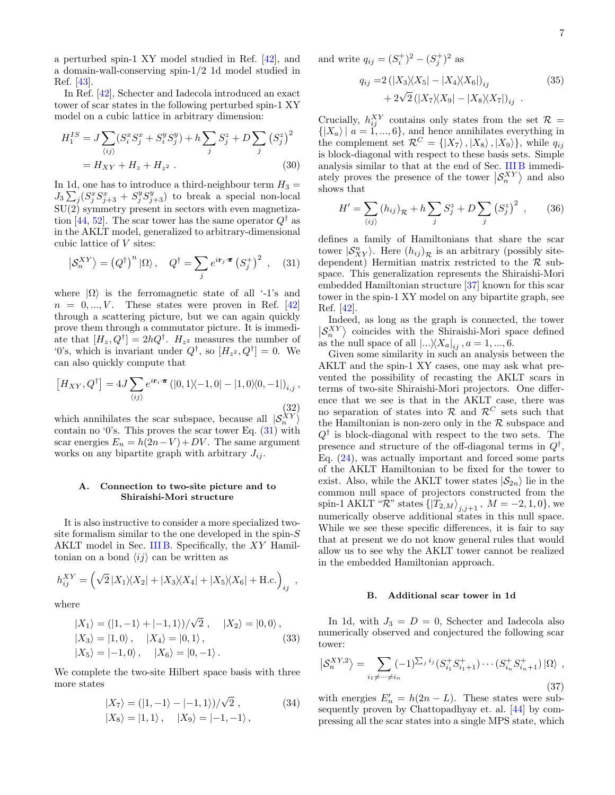a perturbed spin-1 XY model studied in Ref. [\[42\]](#page-16-24), and a domain-wall-conserving spin-1/2 1d model studied in Ref. [\[43\]](#page-16-25).

In Ref. [\[42\]](#page-16-24), Schecter and Iadecola introduced an exact tower of scar states in the following perturbed spin-1 XY model on a cubic lattice in arbitrary dimension:

$$
H_1^{IS} = J \sum_{\langle ij \rangle} (S_i^x S_j^x + S_i^y S_j^y) + h \sum_j S_j^z + D \sum_j (S_j^z)^2
$$
  
=  $H_{XY} + H_z + H_{z^2}$ . (30)

In 1d, one has to introduce a third-neighbour term  $H_3 =$  $J_3\sum_j (S_j^xS_{j+3}^x + S_j^yS_{j+3}^y)$  to break a special non-local  $SU(2)$  symmetry present in sectors with even magnetiza-tion [\[44,](#page-16-30) [52\]](#page-16-31). The scar tower has the same operator  $Q^{\dagger}$  as in the AKLT model, generalized to arbitrary-dimensional cubic lattice of V sites:

<span id="page-6-0"></span>
$$
\left| \mathcal{S}_{n}^{XY} \right\rangle = \left( Q^{\dagger} \right)^{n} \left| \Omega \right\rangle, \quad Q^{\dagger} = \sum_{j} e^{i \mathbf{r}_{j} \cdot \boldsymbol{\pi}} \left( S_{j}^{+} \right)^{2} , \quad (31)
$$

where  $|\Omega\rangle$  is the ferromagnetic state of all '-1's and  $n = 0, ..., V$ . These states were proven in Ref. [\[42\]](#page-16-24) through a scattering picture, but we can again quickly prove them through a commutator picture. It is immediate that  $[H_z, Q^{\dagger}] = 2hQ^{\dagger}$ .  $H_{z^2}$  measures the number of '0's, which is invariant under  $Q^{\dagger}$ , so  $[H_{z^2}, Q^{\dagger}] = 0$ . We can also quickly compute that

$$
[H_{XY}, Q^{\dagger}] = 4J \sum_{\langle ij \rangle} e^{i\mathbf{r}_i \cdot \mathbf{\pi}} \left( |0, 1 \rangle - 1, 0| - |1, 0 \rangle \langle 0, -1| \right)_{i,j},
$$
\n(32)

which annihilates the scar subspace, because all  $|S_n^{XY}\rangle$ contain no '0's. This proves the scar tower Eq.  $(31)$  with scar energies  $E_n = h(2n-V) + DV$ . The same argument works on any bipartite graph with arbitrary  $J_{ij}$ .

## A. Connection to two-site picture and to Shiraishi-Mori structure

It is also instructive to consider a more specialized twosite formalism similar to the one developed in the spin- $S$ AKLT model in Sec. [III B.](#page-3-4) Specifically, the XY Hamiltonian on a bond  $\langle ij \rangle$  can be written as

$$
h_{ij}^{XY} = (\sqrt{2}|X_1\rangle\langle X_2| + |X_3\rangle\langle X_4| + |X_5\rangle\langle X_6| + \text{H.c.})_{ij} ,
$$

where

$$
\begin{aligned} |X_1\rangle &= (|1, -1\rangle + |-1, 1\rangle)/\sqrt{2} \;, \quad |X_2\rangle = |0, 0\rangle \,, \\ |X_3\rangle &= |1, 0\rangle \,, \quad |X_4\rangle = |0, 1\rangle \,, \\ |X_5\rangle &= |-1, 0\rangle \,, \quad |X_6\rangle = |0, -1\rangle \,. \end{aligned} \tag{33}
$$

We complete the two-site Hilbert space basis with three more states

$$
|X_7\rangle = (|1,-1\rangle - |-1,1\rangle)/\sqrt{2} ,
$$
  

$$
|X_8\rangle = |1,1\rangle, \quad |X_9\rangle = |-1,-1\rangle ,
$$
 (34)

and write  $q_{ij} = (S_i^+)^2 - (S_j^+)^2$  as

$$
q_{ij} = 2(|X_3\rangle\langle X_5| - |X_4\rangle\langle X_6|)_{ij} \qquad (35)
$$

$$
+ 2\sqrt{2}(|X_7\rangle\langle X_9| - |X_8\rangle\langle X_7|)_{ij} .
$$

Crucially,  $h_{ij}^{XY}$  contains only states from the set  $\mathcal{R} =$  $\{|X_a\rangle | a = 1, ..., 6\}$ , and hence annihilates everything in the complement set  $\mathcal{R}^C = \{ |X_7\rangle, |X_8\rangle, |X_9\rangle\},\$  while  $q_{ij}$ is block-diagonal with respect to these basis sets. Simple analysis similar to that at the end of Sec. [III B](#page-3-4) immediately proves the presence of the tower  $\left|\mathcal{S}_{n}^{XY}\right\rangle$  and also shows that

$$
H' = \sum_{\langle ij \rangle} (h_{ij})_{\mathcal{R}} + h \sum_{j} S_{j}^{z} + D \sum_{j} (S_{j}^{z})^{2} , \qquad (36)
$$

defines a family of Hamiltonians that share the scar tower  $|\mathcal{S}_{XY}^n\rangle$ . Here  $(h_{ij})_{\mathcal{R}}$  is an arbitrary (possibly sitedependent) Hermitian matrix restricted to the  $\mathcal{R}$  subspace. This generalization represents the Shiraishi-Mori embedded Hamiltonian structure [\[37\]](#page-16-28) known for this scar tower in the spin-1 XY model on any bipartite graph, see Ref. [\[42\]](#page-16-24).

Indeed, as long as the graph is connected, the tower  $\langle S_n^{XY} \rangle$  coincides with the Shiraishi-Mori space defined as the null space of all  $\left|...\right\rangle\!\left\langle X_{a}\right|_{ij}$ ,  $a = 1, ..., 6$ .

Given some similarity in such an analysis between the AKLT and the spin-1 XY cases, one may ask what prevented the possibility of recasting the AKLT scars in terms of two-site Shiraishi-Mori projectors. One difference that we see is that in the AKLT case, there was no separation of states into  $\mathcal{R}$  and  $\mathcal{R}^C$  sets such that the Hamiltonian is non-zero only in the  $R$  subspace and  $Q^{\dagger}$  is block-diagonal with respect to the two sets. The presence and structure of the off-diagonal terms in  $Q^{\dagger}$ , Eq. [\(24\)](#page-4-2), was actually important and forced some parts of the AKLT Hamiltonian to be fixed for the tower to exist. Also, while the AKLT tower states  $|S_{2n}\rangle$  lie in the common null space of projectors constructed from the spin-1 AKLT " $\mathcal{R}$ " states  $\{\ket{T_{2,M}}_{j,j+1}, M=-2,1,0\}$ , we numerically observe additional states in this null space. While we see these specific differences, it is fair to say that at present we do not know general rules that would allow us to see why the AKLT tower cannot be realized in the embedded Hamiltonian approach.

#### B. Additional scar tower in 1d

<span id="page-6-2"></span>In 1d, with  $J_3 = D = 0$ , Schecter and Iadecola also numerically observed and conjectured the following scar tower:

<span id="page-6-1"></span>
$$
\left| \mathcal{S}_{n}^{XY,2} \right\rangle = \sum_{i_{1} \neq \cdots \neq i_{n}} (-1)^{\sum_{j} i_{j}} (S_{i_{1}}^{+} S_{i_{1}+1}^{+}) \cdots (S_{i_{n}}^{+} S_{i_{n}+1}^{+}) \left| \Omega \right\rangle ,
$$
\n(37)

with energies  $E'_n = h(2n - L)$ . These states were subsequently proven by Chattopadhyay et. al. [\[44\]](#page-16-30) by compressing all the scar states into a single MPS state, which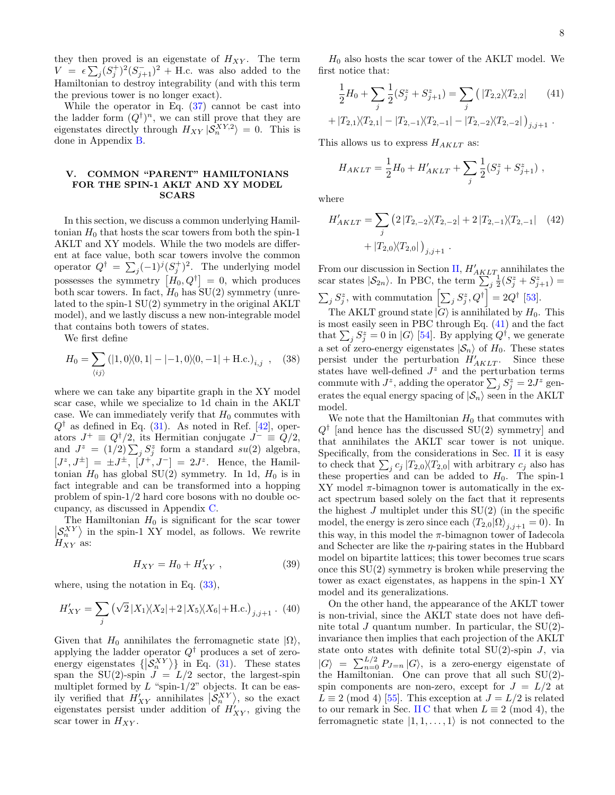they then proved is an eigenstate of  $H_{XY}$ . The term  $V = \epsilon \sum_j (S_j^+)^2 (S_{j+1}^-)^2 + H.c.$  was also added to the Hamiltonian to destroy integrability (and with this term the previous tower is no longer exact).

While the operator in Eq.  $(37)$  cannot be cast into the ladder form  $(Q^{\dagger})^n$ , we can still prove that they are eigenstates directly through  $H_{XY} |S_n^{XY,2}\rangle = 0$ . This is done in Appendix [B.](#page-12-2)

#### <span id="page-7-0"></span>V. COMMON "PARENT" HAMILTONIANS FOR THE SPIN-1 AKLT AND XY MODEL SCARS

In this section, we discuss a common underlying Hamiltonian  $H_0$  that hosts the scar towers from both the spin-1 AKLT and XY models. While the two models are different at face value, both scar towers involve the common operator  $Q^{\dagger} = \sum_j (-1)^j (S_j^+)^2$ . The underlying model possesses the symmetry  $[H_0, Q^{\dagger}] = 0$ , which produces both scar towers. In fact,  $H_0$  has  $SU(2)$  symmetry (unrelated to the spin-1 SU(2) symmetry in the original AKLT model), and we lastly discuss a new non-integrable model that contains both towers of states.

We first define

$$
H_0 = \sum_{\langle ij \rangle} (|1, 0\rangle\langle 0, 1| - |-1, 0\rangle\langle 0, -1| + \text{H.c.})_{i,j} \quad , \quad (38)
$$

where we can take any bipartite graph in the XY model scar case, while we specialize to 1d chain in the AKLT case. We can immediately verify that  $H_0$  commutes with  $Q^{\dagger}$  as defined in Eq. [\(31\)](#page-6-0). As noted in Ref. [\[42\]](#page-16-24), operators  $J^+ \equiv Q^{\dagger}/2$ , its Hermitian conjugate  $J^- \equiv Q/2$ , and  $J^z = (1/2) \sum_j S_j^z$  form a standard  $su(2)$  algebra,  $[J^z, J^{\pm}] = \pm J^{\pm}, [\dot{J}^{\mp}, J^-] = 2J^z$ . Hence, the Hamiltonian  $H_0$  has global SU(2) symmetry. In 1d,  $H_0$  is in fact integrable and can be transformed into a hopping problem of spin-1/2 hard core bosons with no double occupancy, as discussed in Appendix [C.](#page-14-0)

The Hamiltonian  $H_0$  is significant for the scar tower  $\langle S_n^{XY} \rangle$  in the spin-1 XY model, as follows. We rewrite  $H_{XY}$  as:

$$
H_{XY} = H_0 + H'_{XY},\qquad(39)
$$

where, using the notation in Eq.  $(33)$ ,

$$
H'_{XY} = \sum_{j} (\sqrt{2}|X_1\rangle\langle X_2| + 2|X_5\rangle\langle X_6| + \text{H.c.})_{j,j+1} . (40)
$$

Given that  $H_0$  annihilates the ferromagnetic state  $|\Omega\rangle$ , applying the ladder operator  $Q^{\dagger}$  produces a set of zeroenergy eigenstates  $\{\big| \mathcal{S}_n^{XY} \big\rangle\}$  in Eq. [\(31\)](#page-6-0). These states span the  $SU(2)$ -spin  $J = L/2$  sector, the largest-spin multiplet formed by  $L$  "spin-1/2" objects. It can be easily verified that  $H'_{XY}$  annihilates  $\left| \mathcal{S}_{n}^{XY} \right|$ , so the exact eigenstates persist under addition of  $H'_{XY}$ , giving the scar tower in  $H_{XY}$ .

 $H_0$  also hosts the scar tower of the AKLT model. We first notice that:

<span id="page-7-1"></span>
$$
\frac{1}{2}H_0 + \sum_j \frac{1}{2}(S_j^z + S_{j+1}^z) = \sum_j (|T_{2,2}\rangle\langle T_{2,2}| \qquad (41)
$$

$$
+ |T_{2,1}\rangle\langle T_{2,1}| - |T_{2,-1}\rangle\langle T_{2,-1}| - |T_{2,-2}\rangle\langle T_{2,-2}|)_{j,j+1}.
$$

This allows us to express  $H_{AKLT}$  as:

$$
H_{AKLT} = \frac{1}{2}H_0 + H'_{AKLT} + \sum_j \frac{1}{2}(S_j^z + S_{j+1}^z) ,
$$

where

$$
H'_{AKLT} = \sum_{j} (2|T_{2,-2}\rangle\langle T_{2,-2}| + 2|T_{2,-1}\rangle\langle T_{2,-1}| \quad (42)
$$

$$
+ |T_{2,0}\rangle\langle T_{2,0}|)_{j,j+1} .
$$

From our discussion in Section [II,](#page-1-0)  $H'_{AKLT}$  annihilates the scar states  $|S_{2n}\rangle$ . In PBC, the term  $\sum_{j=1}^{n} \frac{1}{2}(S_j^z + S_{j+1}^z)$  $\sum_j S_j^z$ , with commutation  $\left[\sum_j S_j^z, Q^{\dagger}\right] = 2Q^{\dagger}$  [\[53\]](#page-16-32).

The AKLT ground state  $|G\rangle$  is annihilated by  $H_0$ . This is most easily seen in PBC through Eq. [\(41\)](#page-7-1) and the fact that  $\sum_j S_j^z = 0$  in  $|G\rangle$  [\[54\]](#page-16-33). By applying  $Q^{\dagger}$ , we generate a set of zero-energy eigenstates  $|S_n\rangle$  of  $H_0$ . These states persist under the perturbation  $H'_{AKLT}$ . Since these states have well-defined  $J^z$  and the perturbation terms commute with  $J^z$ , adding the operator  $\sum_j S_j^z = 2J^z$  generates the equal energy spacing of  $|S_n\rangle$  seen in the AKLT model.

We note that the Hamiltonian  $H_0$  that commutes with  $Q^{\dagger}$  [and hence has the discussed SU(2) symmetry] and that annihilates the AKLT scar tower is not unique. Specifically, from the considerations in Sec. [II](#page-1-0) it is easy to check that  $\sum_j c_j |T_{2,0}\rangle \langle T_{2,0}|$  with arbitrary  $c_j$  also has these properties and can be added to  $H_0$ . The spin-1 XY model  $\pi$ -bimagnon tower is automatically in the exact spectrum based solely on the fact that it represents the highest  $J$  multiplet under this  $SU(2)$  (in the specific model, the energy is zero since each  $\langle T_{2,0}|\Omega\rangle_{j,j+1} = 0$ . In this way, in this model the  $\pi$ -bimagnon tower of Iadecola and Schecter are like the  $\eta$ -pairing states in the Hubbard model on bipartite lattices; this tower becomes true scars once this  $SU(2)$  symmetry is broken while preserving the tower as exact eigenstates, as happens in the spin-1 XY model and its generalizations.

On the other hand, the appearance of the AKLT tower is non-trivial, since the AKLT state does not have definite total J quantum number. In particular, the  $SU(2)$ invariance then implies that each projection of the AKLT state onto states with definite total  $SU(2)$ -spin J, via  $|G\rangle = \sum_{n=0}^{L/2} P_{J=n} |G\rangle$ , is a zero-energy eigenstate of the Hamiltonian. One can prove that all such SU(2) spin components are non-zero, except for  $J = L/2$  at  $L \equiv 2 \pmod{4}$  [\[55\]](#page-17-0). This exception at  $J = L/2$  is related to our remark in Sec. [II C](#page-1-2) that when  $L \equiv 2 \pmod{4}$ , the ferromagnetic state  $|1, 1, \ldots, 1\rangle$  is not connected to the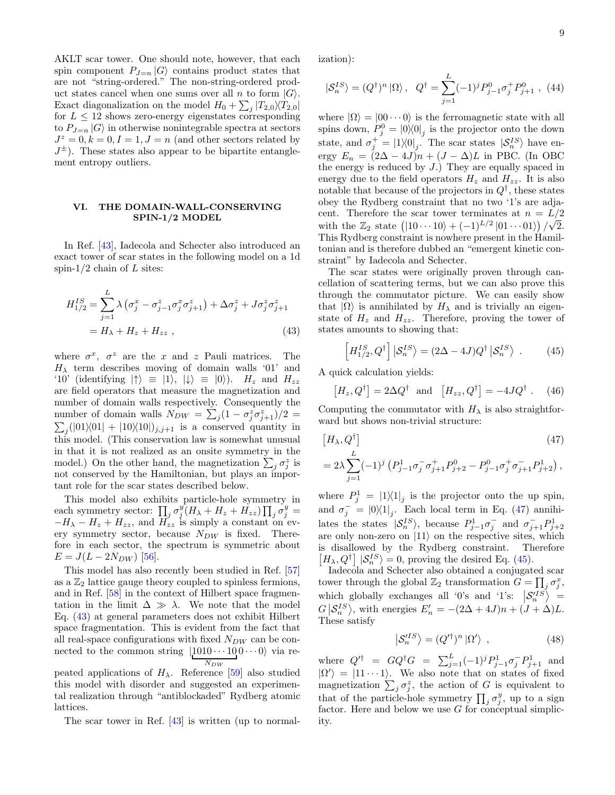AKLT scar tower. One should note, however, that each spin component  $P_{J=n} |G\rangle$  contains product states that are not "string-ordered." The non-string-ordered product states cancel when one sums over all n to form  $|G\rangle$ . Exact diagonalization on the model  $H_0 + \sum_j |T_{2,0}\rangle\langle T_{2,0}|$ for  $L \leq 12$  shows zero-energy eigenstates corresponding to  $P_{J=n}|G\rangle$  in otherwise nonintegrable spectra at sectors  $J^z = 0, k = 0, I = 1, J = n$  (and other sectors related by  $J^{\pm}$ ). These states also appear to be bipartite entanglement entropy outliers.

# <span id="page-8-0"></span>VI. THE DOMAIN-WALL-CONSERVING SPIN-1/2 MODEL

In Ref. [\[43\]](#page-16-25), Iadecola and Schecter also introduced an exact tower of scar states in the following model on a 1d spin- $1/2$  chain of L sites:

$$
H_{1/2}^{IS} = \sum_{j=1}^{L} \lambda \left( \sigma_j^x - \sigma_{j-1}^z \sigma_j^x \sigma_{j+1}^z \right) + \Delta \sigma_j^z + J \sigma_j^z \sigma_{j+1}^z
$$
  
=  $H_{\lambda} + H_z + H_{zz}$ , (43)

where  $\sigma^x$ ,  $\sigma^z$  are the x and z Pauli matrices. The  $H_{\lambda}$  term describes moving of domain walls '01' and '10' (identifying  $|\uparrow\rangle \equiv |1\rangle, |\downarrow\rangle \equiv |0\rangle$ ).  $H_z$  and  $H_{zz}$ are field operators that measure the magnetization and number of domain walls respectively. Consequently the number of domain walls  $N_{DW} = \sum_j (1 - \sigma_j^z \sigma_{j+1}^z)/2 =$  $\sum_j (|01\rangle\langle01| + |10\rangle\langle10|)_{j,j+1}$  is a conserved quantity in this model. (This conservation law is somewhat unusual in that it is not realized as an onsite symmetry in the model.) On the other hand, the magnetization  $\sum_j \sigma_j^z$  is not conserved by the Hamiltonian, but plays an important role for the scar states described below.

This model also exhibits particle-hole symmetry in each symmetry sector:  $\prod_j \sigma_j^{y'} (H_\lambda + H_z + H_{zz}) \prod_j \sigma_j^{y} =$  $-H_{\lambda}-H_{z}+H_{zz}$ , and  $H_{zz}$  is simply a constant on every symmetry sector, because  $N_{DW}$  is fixed. Therefore in each sector, the spectrum is symmetric about  $E = J(L - 2N_{DW})$  [\[56\]](#page-17-1).

This model has also recently been studied in Ref. [\[57\]](#page-17-2) as a  $\mathbb{Z}_2$  lattice gauge theory coupled to spinless fermions, and in Ref. [\[58\]](#page-17-3) in the context of Hilbert space fragmentation in the limit  $\Delta \gg \lambda$ . We note that the model Eq. [\(43\)](#page-8-1) at general parameters does not exhibit Hilbert space fragmentation. This is evident from the fact that all real-space configurations with fixed  $N_{DW}$  can be connected to the common string  $|1010 \cdots 100 \cdots 0\rangle$  via re- $N_{DW}$ 

peated applications of  $H_{\lambda}$ . Reference [\[59\]](#page-17-4) also studied this model with disorder and suggested an experimental realization through "antiblockaded" Rydberg atomic lattices.

The scar tower in Ref. [\[43\]](#page-16-25) is written (up to normal-

ization):

$$
|\mathcal{S}_n^{IS}\rangle = (Q^{\dagger})^n |\Omega\rangle, \quad Q^{\dagger} = \sum_{j=1}^L (-1)^j P_{j-1}^0 \sigma_j^+ P_{j+1}^0 \ , \ (44)
$$

where  $|0\rangle = |00 \cdots 0\rangle$  is the ferromagnetic state with all spins down,  $P_j^0 = |0\rangle\langle 0|_j$  is the projector onto the down state, and  $\sigma_j^+ = |1\rangle\langle 0|_j$ . The scar states  $|S_n^{IS}\rangle$  have energy  $E_n = (2\Delta - 4J)n + (J - \Delta)L$  in PBC. (In OBC) the energy is reduced by  $J$ .) They are equally spaced in energy due to the field operators  $H_z$  and  $H_{zz}$ . It is also notable that because of the projectors in  $Q^{\dagger}$ , these states obey the Rydberg constraint that no two '1's are adjacent. Therefore the scar tower terminates at  $n = L/2$ with the  $\mathbb{Z}_2$  state  $(|10 \cdots 10\rangle + (-1)^{L/2} |01 \cdots 01\rangle)/\sqrt{2}$ . This Rydberg constraint is nowhere present in the Hamiltonian and is therefore dubbed an "emergent kinetic constraint" by Iadecola and Schecter.

<span id="page-8-1"></span>The scar states were originally proven through cancellation of scattering terms, but we can also prove this through the commutator picture. We can easily show that  $|\Omega\rangle$  is annihilated by  $H_{\lambda}$  and is trivially an eigenstate of  $H_z$  and  $H_{zz}$ . Therefore, proving the tower of states amounts to showing that:

<span id="page-8-3"></span>
$$
\left[H_{1/2}^{IS}, Q^{\dagger}\right] \left|\mathcal{S}_{n}^{IS}\right\rangle = (2\Delta - 4J)Q^{\dagger} \left|\mathcal{S}_{n}^{IS}\right\rangle . \tag{45}
$$

A quick calculation yields:

<span id="page-8-2"></span>
$$
[H_z, Q^{\dagger}] = 2\Delta Q^{\dagger} \text{ and } [H_{zz}, Q^{\dagger}] = -4JQ^{\dagger}. \quad (46)
$$

Computing the commutator with  $H_{\lambda}$  is also straightforward but shows non-trivial structure:

$$
[H_{\lambda}, Q^{\dagger}]
$$
\n
$$
= 2\lambda \sum_{j=1}^{L} (-1)^{j} \left( P_{j-1}^{1} \sigma_{j}^{-} \sigma_{j+1}^{+} P_{j+2}^{0} - P_{j-1}^{0} \sigma_{j}^{+} \sigma_{j+1}^{-} P_{j+2}^{1} \right),
$$
\n
$$
(47)
$$

where  $P_j^1 = |1\rangle\langle 1|_j$  is the projector onto the up spin, and  $\sigma_j^- = |0\rangle\langle 1|_j$ . Each local term in Eq. [\(47\)](#page-8-2) annihilates the states  $|S_n^{IS}\rangle$ , because  $P_{j-1}^1\sigma_j^-$  and  $\sigma_{j+1}^-P_{j+2}^1$ are only non-zero on  $|11\rangle$  on the respective sites, which is disallowed by the Rydberg constraint. Therefore  $[H_{\lambda}, Q^{\dagger}] |\mathcal{S}_{n}^{IS}\rangle = 0$ , proving the desired Eq. [\(45\)](#page-8-3).

Iadecola and Schecter also obtained a conjugated scar tower through the global  $\mathbb{Z}_2$  transformation  $\widetilde{G} = \prod_j \sigma_j^x$ , which globally exchanges all '0's and '1's:  $\left|\mathcal{S}_{n}^{(IS)}\right|$  =  $G\big|\mathcal{S}_n^{IS}\big\rangle$ , with energies  $E'_n = -(2\Delta + 4J)n + (J + \Delta)L$ . These satisfy

$$
\left| \mathcal{S}_{n}^{\prime IS} \right\rangle = (Q^{\prime \dagger})^{n} \left| \Omega^{\prime} \right\rangle , \qquad (48)
$$

where  $Q'^{\dagger} = G Q^{\dagger} G = \sum_{j=1}^{L} (-1)^j P_{j-1}^1 \sigma_j^{-} P_{j+1}^1$  and  $|\Omega'\rangle = |11 \cdots 1\rangle$ . We also note that on states of fixed magnetization  $\sum_j \sigma_j^z$ , the action of G is equivalent to that of the particle-hole symmetry  $\prod_j \sigma_j^y$ , up to a sign factor. Here and below we use  $G$  for conceptual simplicity.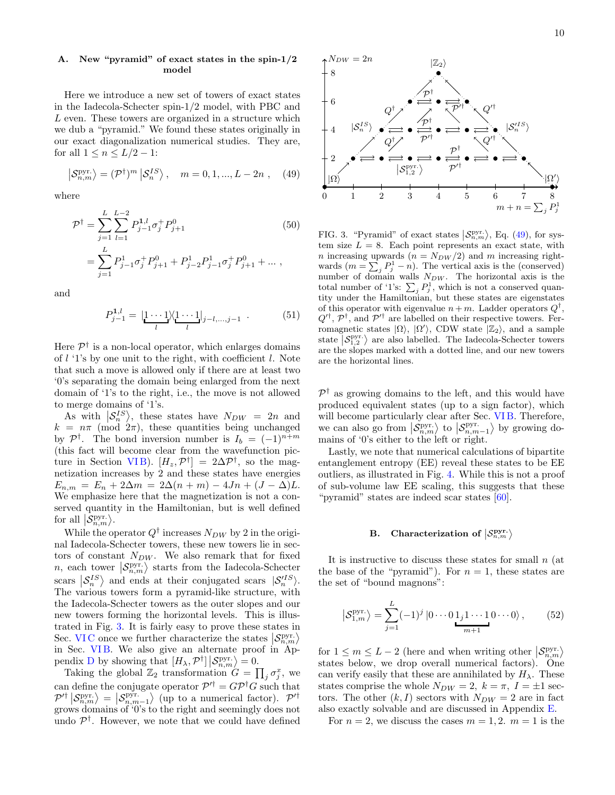# A. New "pyramid" of exact states in the spin-1/2 model

Here we introduce a new set of towers of exact states in the Iadecola-Schecter spin-1/2 model, with PBC and L even. These towers are organized in a structure which we dub a "pyramid." We found these states originally in our exact diagonalization numerical studies. They are, for all  $1 \leq n \leq L/2 - 1$ :

<span id="page-9-2"></span>
$$
\left| \mathcal{S}_{n,m}^{\text{pyr.}} \right\rangle = (\mathcal{P}^{\dagger})^m \left| \mathcal{S}_n^{IS} \right\rangle, \quad m = 0, 1, ..., L - 2n , \quad (49)
$$

where

$$
\mathcal{P}^{\dagger} = \sum_{j=1}^{L} \sum_{l=1}^{L-2} P_{j-1}^{1,l} \sigma_j^+ P_{j+1}^0
$$
\n
$$
= \sum_{j=1}^{L} P_{j-1}^1 \sigma_j^+ P_{j+1}^0 + P_{j-2}^1 P_{j-1}^1 \sigma_j^+ P_{j+1}^0 + \dots,
$$
\n(50)

and

$$
P_{j-1}^{1,l} = |\underbrace{1 \cdots 1}_{l} \rangle \langle \underbrace{1 \cdots 1}_{l} |_{j-l,\dots,j-1} . \tag{51}
$$

Here  $\mathcal{P}^{\dagger}$  is a non-local operator, which enlarges domains of  $l$  '1's by one unit to the right, with coefficient  $l$ . Note that such a move is allowed only if there are at least two '0's separating the domain being enlarged from the next domain of '1's to the right, i.e., the move is not allowed to merge domains of '1's.

As with  $\left|\mathcal{S}_{n}^{IS}\right\rangle$ , these states have  $N_{DW} = 2n$  and  $k = n\pi \pmod{2\pi}$ , these quantities being unchanged by  $\mathcal{P}^{\dagger}$ . The bond inversion number is  $I_b = (-1)^{n+m}$ (this fact will become clear from the wavefunction picture in Section VIB).  $[H_z, \mathcal{P}^{\dagger}] = 2\Delta \mathcal{P}^{\dagger}$ , so the magnetization increases by 2 and these states have energies  $E_{n,m} = E_n + 2\Delta m = 2\Delta(n+m) - 4Jn + (J - \Delta)L.$ We emphasize here that the magnetization is not a conserved quantity in the Hamiltonian, but is well defined for all  $\left|\mathcal{S}_{n,m}^{\text{pyr.}}\right\rangle$ .

While the operator  $Q^{\dagger}$  increases  $N_{DW}$  by 2 in the original Iadecola-Schecter towers, these new towers lie in sectors of constant  $N_{DW}$ . We also remark that for fixed *n*, each tower  $\langle S_{n,m}^{\text{pyr.}} \rangle$  starts from the Iadecola-Schecter scars  $\left|S_n^{IS}\right\rangle$  and ends at their conjugated scars  $\left|S_n^{IS}\right\rangle$ . The various towers form a pyramid-like structure, with the Iadecola-Schecter towers as the outer slopes and our new towers forming the horizontal levels. This is illustrated in Fig. [3.](#page-9-1) It is fairly easy to prove these states in Sec. VIC once we further characterize the states  $S_{n,m}^{\text{pyr}}$ in Sec. VIB. We also give an alternate proof in Ap-pendix [D](#page-14-1) by showing that  $[H_{\lambda}, \mathcal{P}^{\dagger}] | \mathcal{S}_{n,m}^{\text{pyr.}} \rangle = 0.$ 

Taking the global  $\mathbb{Z}_2$  transformation  $G = \prod_j \sigma_j^x$ , we can define the conjugate operator  $\mathcal{P}'^{\dagger} = G\mathcal{P}^{\dagger}G$  such that  $\mathcal{P}'^{\dagger} | \mathcal{S}_{n,m}^{\text{pyr.}} \rangle = | \mathcal{S}_{n,m-1}^{\text{pyr.}} \rangle$  (up to a numerical factor).  $\mathcal{P}'^{\dagger}$ grows domains of '0's to the right and seemingly does not undo  $\mathcal{P}^{\dagger}$ . However, we note that we could have defined



<span id="page-9-1"></span>FIG. 3. "Pyramid" of exact states  $\langle S_{n,m}^{\text{pyr}} \rangle$ , Eq. [\(49\)](#page-9-2), for system size  $L = 8$ . Each point represents an exact state, with *n* increasing upwards  $(n = N_{DW}/2)$  and *m* increasing rightwards  $(m = \sum_j P_j^1 - n)$ . The vertical axis is the (conserved) number of domain walls  $N_{DW}$ . The horizontal axis is the total number of '1's:  $\sum_j P_j^1$ , which is not a conserved quantity under the Hamiltonian, but these states are eigenstates of this operator with eigenvalue  $n+m$ . Ladder operators  $Q^{\dagger}$ ,  $Q^{\prime\dagger}$ ,  $\mathcal{P}^{\dagger}$ , and  $\mathcal{P}^{\prime\dagger}$  are labelled on their respective towers. Ferromagnetic states  $|\Omega\rangle$ ,  $|\Omega'\rangle$ , CDW state  $|\mathbb{Z}_2\rangle$ , and a sample state  $\left| \mathcal{S}_{1,2}^{\text{pyr.}} \right\rangle$  are also labelled. The Iadecola-Schecter towers are the slopes marked with a dotted line, and our new towers are the horizontal lines.

 $\mathcal{P}^{\dagger}$  as growing domains to the left, and this would have produced equivalent states (up to a sign factor), which will become particularly clear after Sec. VIB. Therefore, we can also go from  $\left|\mathcal{S}_{n,m}^{\text{pyr}}\right\rangle$  to  $\left|\mathcal{S}_{n,m-1}^{\text{pyr}}\right\rangle$  by growing domains of '0's either to the left or right.

Lastly, we note that numerical calculations of bipartite entanglement entropy (EE) reveal these states to be EE outliers, as illustrated in Fig. [4.](#page-10-1) While this is not a proof of sub-volume law EE scaling, this suggests that these "pyramid" states are indeed scar states [\[60\]](#page-17-5).

# <span id="page-9-0"></span>B. Characterization of  $\left|\mathcal{S}^{\mathbf{pyr.}}_{n,m}\right\rangle$

It is instructive to discuss these states for small  $n$  (at the base of the "pyramid"). For  $n = 1$ , these states are the set of "bound magnons":

<span id="page-9-3"></span>
$$
\left| \mathcal{S}_{1,m}^{\text{pyr.}} \right\rangle = \sum_{j=1}^{L} (-1)^j \left| 0 \cdots 0 \, 1_j 1 \cdots 1 \, 0 \cdots 0 \right\rangle, \tag{52}
$$

for  $1 \leq m \leq L-2$  (here and when writing other  $\left|\mathcal{S}_{n,m}^{\text{pyr}}\right\rangle$ states below, we drop overall numerical factors). One can verify easily that these are annihilated by  $H_{\lambda}$ . These states comprise the whole  $N_{DW} = 2$ ,  $k = \pi$ ,  $I = \pm 1$  sectors. The other  $(k, I)$  sectors with  $N_{DW} = 2$  are in fact also exactly solvable and are discussed in Appendix [E.](#page-15-0)

For  $n = 2$ , we discuss the cases  $m = 1, 2$ .  $m = 1$  is the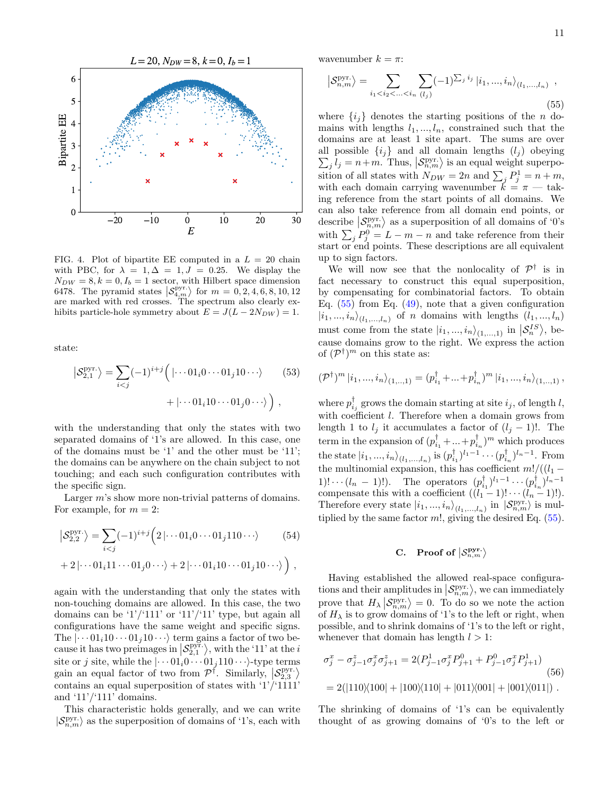

<span id="page-10-1"></span>FIG. 4. Plot of bipartite EE computed in a  $L = 20$  chain with PBC, for  $\lambda = 1, \Delta = 1, J = 0.25$ . We display the  $N_{DW} = 8, k = 0, I_b = 1$  sector, with Hilbert space dimension 6478. The pyramid states  $\left| \mathcal{S}_{4,m}^{\text{pyr.}} \right\rangle$  for  $m = 0, 2, 4, 6, 8, 10, 12$ are marked with red crosses. The spectrum also clearly exhibits particle-hole symmetry about  $E = J(L - 2N_{DW}) = 1$ .

state:

$$
\left| \mathcal{S}_{2,1}^{\text{pyr.}} \right\rangle = \sum_{i < j} (-1)^{i+j} \left( \left| \cdots 01_i 0 \cdots 01_j 1 0 \cdots \right\rangle \right) \tag{53}
$$
\n
$$
+ \left| \cdots 01_i 1 0 \cdots 01_j 0 \cdots \right\rangle \right) ,
$$

with the understanding that only the states with two separated domains of '1's are allowed. In this case, one of the domains must be '1' and the other must be '11'; the domains can be anywhere on the chain subject to not touching; and each such configuration contributes with the specific sign.

Larger m's show more non-trivial patterns of domains. For example, for  $m = 2$ :

$$
\left| \mathcal{S}_{2,2}^{\text{pyr.}} \right\rangle = \sum_{i < j} (-1)^{i+j} \left( 2 \left| \cdots 01_i 0 \cdots 01_j 110 \cdots \right\rangle \right) \tag{54}
$$
\n
$$
+ 2 \left| \cdots 01_i 11 \cdots 01_j 0 \cdots \right\rangle + 2 \left| \cdots 01_i 10 \cdots 01_j 10 \cdots \right\rangle \right),
$$

again with the understanding that only the states with non-touching domains are allowed. In this case, the two domains can be  $\frac{1}{11}$  or  $\frac{11}{11}$  type, but again all configurations have the same weight and specific signs. The  $|\cdots 01_i10 \cdots 01_j10 \cdots \rangle$  term gains a factor of two because it has two preimages in  $\left| \mathcal{S}_{2,1}^{\text{pyr}} \right|$ , with the '11' at the *i* site or j site, while the  $|\cdots 01_i0 \cdots 01_j110 \cdots\rangle$ -type terms gain an equal factor of two from  $\mathcal{P}^{\dagger}$ . Similarly,  $\left|\mathcal{S}_{2,3}^{\text{pyr}}\right\rangle$ contains an equal superposition of states with '1'/'1111' and  $'11'$ /' $111'$  domains.

This characteristic holds generally, and we can write  $|S_{n,m}^{\text{pyr.}}\rangle$  as the superposition of domains of '1's, each with

wavenumber  $k = \pi$ :

<span id="page-10-2"></span>
$$
\left| \mathcal{S}_{n,m}^{\text{pyr.}} \right\rangle = \sum_{i_1 < i_2 < \ldots < i_n} \sum_{(l_j)} (-1)^{\sum_j i_j} \left| i_1, \ldots, i_n \right\rangle_{(l_1, \ldots, l_n)},
$$
\n(55)

where  $\{i_j\}$  denotes the starting positions of the n domains with lengths  $l_1, ..., l_n$ , constrained such that the domains are at least 1 site apart. The sums are over all possible  $\{i_j\}$  and all domain lengths  $(l_j)$  obeying  $\sum_{j} l_j = n+m$ . Thus,  $\left| \mathcal{S}_{n,m}^{\text{pyr.}} \right\rangle$  is an equal weight superposition of all states with  $N_{DW} = 2n$  and  $\sum_j P_j^1 = n + m$ , with each domain carrying wavenumber  $\tilde{k} = \pi - \text{tak}$ ing reference from the start points of all domains. We can also take reference from all domain end points, or describe  $\left\langle \mathcal{S}_{n,m}^{\text{pyr.}} \right\rangle$  as a superposition of all domains of '0's with  $\sum_j P_j^0 = L - m - n$  and take reference from their start or end points. These descriptions are all equivalent up to sign factors.

We will now see that the nonlocality of  $\mathcal{P}^{\dagger}$  is in fact necessary to construct this equal superposition, by compensating for combinatorial factors. To obtain Eq.  $(55)$  from Eq.  $(49)$ , note that a given configuration  $|i_1,...,i_n\rangle_{(l_1,...,l_n)}$  of *n* domains with lengths  $(l_1,...,l_n)$ must come from the state  $|i_1, ..., i_n\rangle_{(1,...,1)}$  in  $\left|\mathcal{S}_n^{IS}\right\rangle$ , because domains grow to the right. We express the action of  $({\cal P}^{\dagger})^m$  on this state as:

$$
(\mathcal{P}^{\dagger})^{m} |i_{1},...,i_{n}\rangle_{(1,..,1)} = (p_{i_{1}}^{\dagger}+...+p_{i_{n}}^{\dagger})^{m} |i_{1},...,i_{n}\rangle_{(1,..,1)},
$$

where  $p_{i_j}^{\dagger}$  grows the domain starting at site  $i_j$ , of length l, with coefficient  $l$ . Therefore when a domain grows from length 1 to  $l_j$  it accumulates a factor of  $(l_j - 1)!$ . The term in the expansion of  $(p_{i_1}^{\dagger} + ... + p_{i_n}^{\dagger})^m$  which produces the state  $|i_1, ..., i_n\rangle_{(l_1, ..., l_n)}$  is  $(p_{i_1}^{\dagger})^{l_1-1} \cdots (p_{i_n}^{\dagger})^{l_n-1}$ . From the multinomial expansion, this has coefficient  $m!/((l_1 -$ 1)! · ·  $(l_n - 1)$ !). The operators  $(p_{i_1}^{\dagger})^{l_1 - 1} \cdots (p_{i_n}^{\dagger})^{l_n - 1}$ compensate this with a coefficient  $((l_1-1)! \cdots (l_n-1)!)$ . Therefore every state  $|i_1, ..., i_n\rangle_{(l_1, ..., l_n)}$  in  $|\mathcal{S}_{n,m}^{\text{pyr.}}\rangle$  is multiplied by the same factor  $m!$ , giving the desired Eq.  $(55)$ .

# <span id="page-10-0"></span>C. Proof of  $\left|\mathcal{S}^{\mathbf{pyr.}}_{n,m}\right\rangle$

Having established the allowed real-space configurations and their amplitudes in  $\left|\mathcal{S}_{n,m}^{\text{pyr.}}\right\rangle$ , we can immediately prove that  $H_{\lambda} | S_{n,m}^{\text{pyr.}} \rangle = 0$ . To do so we note the action of  $H_{\lambda}$  is to grow domains of '1's to the left or right, when possible, and to shrink domains of '1's to the left or right, whenever that domain has length  $l > 1$ :

$$
\sigma_j^x - \sigma_{j-1}^z \sigma_j^x \sigma_{j+1}^z = 2(P_{j-1}^1 \sigma_j^x P_{j+1}^0 + P_{j-1}^0 \sigma_j^x P_{j+1}^1)
$$
\n
$$
= 2(|110\rangle\langle100| + |100\rangle\langle110| + |011\rangle\langle001| + |001\rangle\langle011|).
$$
\n(56)

The shrinking of domains of '1's can be equivalently thought of as growing domains of '0's to the left or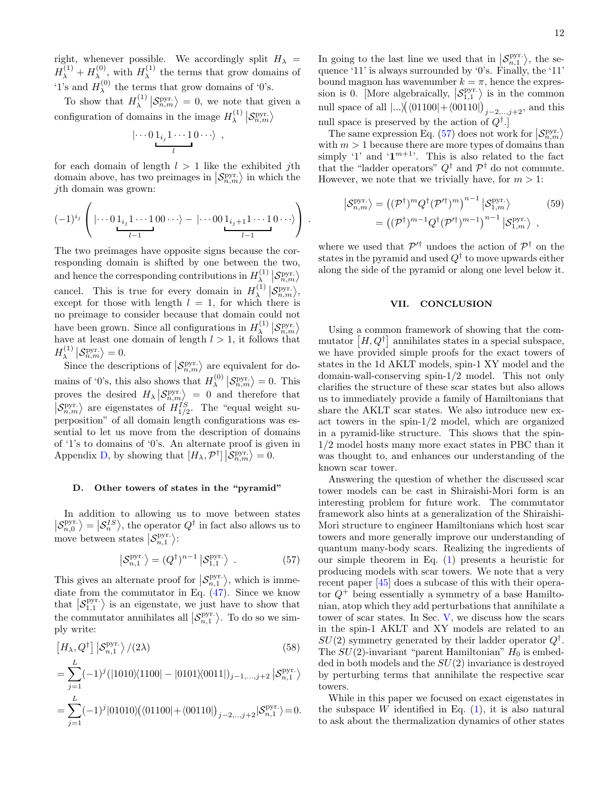right, whenever possible. We accordingly split  $H_{\lambda}$  =  $H_\lambda^{(1)}+H_\lambda^{(0)}$  $\chi^{(0)}$ , with  $H_{\lambda}^{(1)}$  $\lambda^{(1)}$  the terms that grow domains of '1's and  $H_{\lambda}^{(0)}$  $\lambda$ <sup>(0)</sup> the terms that grow domains of '0's.

To show that  $H_{\lambda}^{(1)}$  $\left\langle \lambda \right\rangle \left| \mathcal{S}_{n,m}^{\text{pyr.}} \right\rangle = 0$ , we note that given a configuration of domains in the image  $H_{\lambda}^{(1)}$  $\lambda^{(1)}\left| \mathcal{S}^{\rm pyr.}_{n,m} \right\rangle$ 

$$
\left|\cdots 0\,1_{i_j}\,1\cdots 1\,0\cdots\right\rangle ,
$$

for each domain of length  $l > 1$  like the exhibited jth domain above, has two preimages in  $\langle S_{n,m}^{\text{pyr}} \rangle$  in which the jth domain was grown:

$$
(-1)^{i_j}\left(\mid\cdots 0_{\underbrace{1_{i_j}1\cdots 1}_{l-1}00\cdots\rangle-\mid\cdots 00_{\underbrace{1_{i_j+1}1\cdots 1}_{l-1}0\cdots\rangle}\right).
$$

The two preimages have opposite signs because the corresponding domain is shifted by one between the two, and hence the corresponding contributions in  $H_{\lambda}^{(1)}$  $\mathcal{S}_{n,m}^{(1)} \left| \mathcal{S}_{n,m}^{\text{pyr.}} \right\rangle$ cancel. This is true for every domain in  $H_{\lambda}^{(1)}$  $\big\{\lambda \atop \lambda \in \mathbb{R}^{n,m}, m\big\},$ except for those with length  $l = 1$ , for which there is no preimage to consider because that domain could not have been grown. Since all configurations in  $H_{\lambda}^{(1)}$  $\left|\mathcal{S}^{\text{pyr.}}_{n,m}\right\rangle$ have at least one domain of length  $l > 1$ , it follows that  $H_\lambda^{(1)}$  $\left|\mathcal{S}_{n,m}^{\text{pyr.}}\right\rangle = 0.$ 

Since the descriptions of  $\langle \mathcal{S}_{n,m}^{\text{pyr.}} \rangle$  are equivalent for domains of '0's, this also shows that  $H_{\lambda}^{(0)}$  $\mathcal{S}_{n,m}^{(0)}\left|\mathcal{S}_{n,m}^{\text{pyr.}}\right\rangle = 0.$  This proves the desired  $H_{\lambda}$   $\left\langle S_{n,m}^{\text{pyr}} \right\rangle = 0$  and therefore that  $\left| \mathcal{S}_{n,m}^{\text{pyr}} \right\rangle$  are eigenstates of  $H_{1/2}^{IS}$ . The "equal weight superposition" of all domain length configurations was essential to let us move from the description of domains of '1's to domains of '0's. An alternate proof is given in Appendix [D,](#page-14-1) by showing that  $[H_{\lambda}, \mathcal{P}^{\dagger}] | \mathcal{S}_{n,m}^{\text{pyr.}} \rangle = 0.$ 

#### D. Other towers of states in the "pyramid"

In addition to allowing us to move between states  $\left|\mathcal{S}_{n,0}^{\text{pyr}}\right\rangle = \left|\mathcal{S}_{n}^{IS}\right\rangle$ , the operator  $Q^{\dagger}$  in fact also allows us to move between states  $\left| \mathcal{S}^{\text{pyr.}}_{n,1} \right\rangle$ :

<span id="page-11-0"></span>
$$
\left| \mathcal{S}_{n,1}^{\text{pyr.}} \right\rangle = (Q^{\dagger})^{n-1} \left| \mathcal{S}_{1,1}^{\text{pyr.}} \right\rangle . \tag{57}
$$

This gives an alternate proof for  $\left| \mathcal{S}_{n,1}^{\text{pyr}} \right|$ , which is immediate from the commutator in Eq. [\(47\)](#page-8-2). Since we know that  $\left| \mathcal{S}_{1,1}^{\text{pyr}} \right|$  is an eigenstate, we just have to show that the commutator annihilates all  $\left| \mathcal{S}_{n,1}^{\text{pyr}} \right\rangle$ . To do so we simply write:

$$
\left[H_{\lambda}, Q^{\dagger}\right] \left| \mathcal{S}_{n,1}^{\text{pyr.}} \right\rangle / (2\lambda)
$$
\n(58)

$$
= \sum_{j=1}^{L} (-1)^{j} (|1010\rangle\langle 1100| - |0101\rangle\langle 0011|)_{j-1,\ldots,j+2} |S_{n,1}^{\text{pyr.}}\rangle
$$

$$
=\sum_{j=1}^{L}(-1)^{j}|01010\rangle\big(\langle01100|+\langle00110|\big)_{j-2,..,j+2}|\mathcal{S}^{\rm pyr.}_{n,1}\rangle\!=\!0.
$$

In going to the last line we used that in  $\mathcal{S}_{n,1}^{\text{pyr}}$ , the sequence '11' is always surrounded by '0's. Finally, the '11' bound magnon has wavenumber  $k = \pi$ , hence the expression is 0. [More algebraically,  $\left| \mathcal{S}_{1,1}^{\text{pyr}} \right\rangle$  is in the common null space of all  $|...|((01100|+(00110))_{j-2,\dots,j+2}$ , and this null space is preserved by the action of  $Q^{\dagger}$ .

The same expression Eq. [\(57\)](#page-11-0) does not work for  $\left|\mathcal{S}_{n,m}^{\text{pyr}}\right\rangle$ with  $m > 1$  because there are more types of domains than simply '1' and ' $1^{m+1}$ '. This is also related to the fact that the "ladder operators"  $Q^{\dagger}$  and  $\mathcal{P}^{\dagger}$  do not commute. However, we note that we trivially have, for  $m > 1$ :

$$
\begin{aligned} \left| \mathcal{S}_{n,m}^{\text{pyr.}} \right\rangle &= \left( (\mathcal{P}^{\dagger})^m Q^{\dagger} (\mathcal{P}'^{\dagger})^m \right)^{n-1} \left| \mathcal{S}_{1,m}^{\text{pyr.}} \right\rangle \\ &= \left( (\mathcal{P}^{\dagger})^{m-1} Q^{\dagger} (\mathcal{P}'^{\dagger})^{m-1} \right)^{n-1} \left| \mathcal{S}_{1,m}^{\text{pyr.}} \right\rangle \end{aligned} \tag{59}
$$

where we used that  $\mathcal{P}'^{\dagger}$  undoes the action of  $\mathcal{P}^{\dagger}$  on the states in the pyramid and used  $Q^{\dagger}$  to move upwards either along the side of the pyramid or along one level below it.

# VII. CONCLUSION

Using a common framework of showing that the commutator  $[H, Q^{\dagger}]$  annihilates states in a special subspace, we have provided simple proofs for the exact towers of states in the 1d AKLT models, spin-1 XY model and the domain-wall-conserving spin-1/2 model. This not only clarifies the structure of these scar states but also allows us to immediately provide a family of Hamiltonians that share the AKLT scar states. We also introduce new exact towers in the spin-1/2 model, which are organized in a pyramid-like structure. This shows that the spin-1/2 model hosts many more exact states in PBC than it was thought to, and enhances our understanding of the known scar tower.

Answering the question of whether the discussed scar tower models can be cast in Shiraishi-Mori form is an interesting problem for future work. The commutator framework also hints at a generalization of the Shiraishi-Mori structure to engineer Hamiltonians which host scar towers and more generally improve our understanding of quantum many-body scars. Realizing the ingredients of our simple theorem in Eq. [\(1\)](#page-0-0) presents a heuristic for producing models with scar towers. We note that a very recent paper [\[45\]](#page-16-18) does a subcase of this with their operator  $Q^+$  being essentially a symmetry of a base Hamiltonian, atop which they add perturbations that annihilate a tower of scar states. In Sec. [V,](#page-7-0) we discuss how the scars in the spin-1 AKLT and XY models are related to an  $SU(2)$  symmetry generated by their ladder operator  $Q^{\dagger}$ . The  $SU(2)$ -invariant "parent Hamiltonian"  $H_0$  is embed- $\text{ded in both models and the } SU(2) \text{ invariance is destroyed}$ by perturbing terms that annihilate the respective scar towers.

While in this paper we focused on exact eigenstates in the subspace W identified in Eq.  $(1)$ , it is also natural to ask about the thermalization dynamics of other states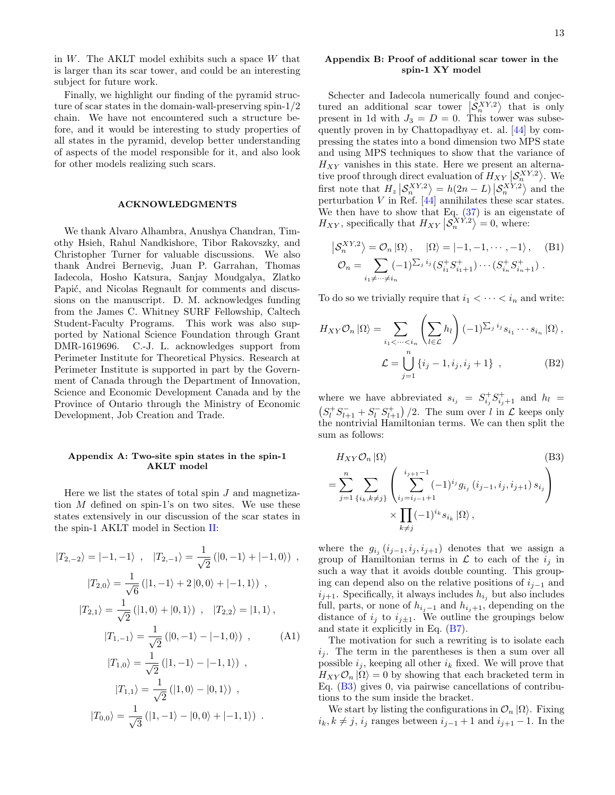in  $W$ . The AKLT model exhibits such a space  $W$  that is larger than its scar tower, and could be an interesting subject for future work.

Finally, we highlight our finding of the pyramid structure of scar states in the domain-wall-preserving spin-1/2 chain. We have not encountered such a structure before, and it would be interesting to study properties of all states in the pyramid, develop better understanding of aspects of the model responsible for it, and also look for other models realizing such scars.

# ACKNOWLEDGMENTS

We thank Alvaro Alhambra, Anushya Chandran, Timothy Hsieh, Rahul Nandkishore, Tibor Rakovszky, and Christopher Turner for valuable discussions. We also thank Andrei Bernevig, Juan P. Garrahan, Thomas Iadecola, Hosho Katsura, Sanjay Moudgalya, Zlatko Papić, and Nicolas Regnault for comments and discussions on the manuscript. D. M. acknowledges funding from the James C. Whitney SURF Fellowship, Caltech Student-Faculty Programs. This work was also supported by National Science Foundation through Grant DMR-1619696. C.-J. L. acknowledges support from Perimeter Institute for Theoretical Physics. Research at Perimeter Institute is supported in part by the Government of Canada through the Department of Innovation, Science and Economic Development Canada and by the Province of Ontario through the Ministry of Economic Development, Job Creation and Trade.

## <span id="page-12-0"></span>Appendix A: Two-site spin states in the spin-1 AKLT model

Here we list the states of total spin  $J$  and magnetization M defined on spin-1's on two sites. We use these states extensively in our discussion of the scar states in the spin-1 AKLT model in Section [II:](#page-1-0)

$$
|T_{2,-2}\rangle = |-1, -1\rangle , |T_{2,-1}\rangle = \frac{1}{\sqrt{2}} (|0, -1\rangle + |-1, 0\rangle) ,
$$
  
\n
$$
|T_{2,0}\rangle = \frac{1}{\sqrt{6}} (|1, -1\rangle + 2|0, 0\rangle + |-1, 1\rangle) ,
$$
  
\n
$$
|T_{2,1}\rangle = \frac{1}{\sqrt{2}} (|1, 0\rangle + |0, 1\rangle) , |T_{2,2}\rangle = |1, 1\rangle,
$$
  
\n
$$
|T_{1,-1}\rangle = \frac{1}{\sqrt{2}} (|0, -1\rangle - |-1, 0\rangle) ,
$$
  
\n
$$
|T_{1,0}\rangle = \frac{1}{\sqrt{2}} (|1, -1\rangle - |-1, 1\rangle) ,
$$
  
\n
$$
|T_{1,1}\rangle = \frac{1}{\sqrt{2}} (|1, 0\rangle - |0, 1\rangle) ,
$$
  
\n
$$
|T_{0,0}\rangle = \frac{1}{\sqrt{3}} (|1, -1\rangle - |0, 0\rangle + |-1, 1\rangle) .
$$

# <span id="page-12-2"></span>Appendix B: Proof of additional scar tower in the spin-1 XY model

Schecter and Iadecola numerically found and conjectured an additional scar tower  $\langle \mathcal{S}_n^{XY,2} \rangle$  that is only present in 1d with  $J_3 = D = 0$ . This tower was subsequently proven in by Chattopadhyay et. al. [\[44\]](#page-16-30) by compressing the states into a bond dimension two MPS state and using MPS techniques to show that the variance of  $H_{XY}$  vanishes in this state. Here we present an alternative proof through direct evaluation of  $H_{XY} | \mathcal{S}_n^{XY,2} \rangle$ . We first note that  $H_z \left| \mathcal{S}_n^{XY,2} \right\rangle = h(2n - L) \left| \mathcal{S}_n^{XY,2} \right\rangle$  and the perturbation V in Ref.  $[44]$  annihilates these scar states. We then have to show that Eq. [\(37\)](#page-6-1) is an eigenstate of  $H_{XY}$ , specifically that  $H_{XY} | \mathcal{S}_n^{XY,2} \rangle = 0$ , where:

$$
\left| \mathcal{S}_{n}^{XY,2} \right\rangle = \mathcal{O}_{n} \left| \Omega \right\rangle, \quad \left| \Omega \right\rangle = \left| -1, -1, \cdots, -1 \right\rangle, \quad \text{(B1)}
$$
\n
$$
\mathcal{O}_{n} = \sum_{i_{1} \neq \cdots \neq i_{n}} (-1)^{\sum_{j} i_{j}} (S_{i_{1}}^{+} S_{i_{1}+1}^{+}) \cdots (S_{i_{n}}^{+} S_{i_{n}+1}^{+}) \ .
$$

To do so we trivially require that  $i_1 < \cdots < i_n$  and write:

$$
H_{XY}\mathcal{O}_n |\Omega\rangle = \sum_{i_1 < \dots < i_n} \left( \sum_{l \in \mathcal{L}} h_l \right) (-1)^{\sum_j i_j} s_{i_1} \dots s_{i_n} |\Omega\rangle,
$$
\n
$$
\mathcal{L} = \bigcup_{j=1}^n \{i_j - 1, i_j, i_j + 1\} \,, \tag{B2}
$$

where we have abbreviated  $s_{i_j} = S^+_{i_j} S^+_{i_j+1}$  and  $h_l =$  $(S_l^+ S_{l+1}^- + S_l^- S_{l+1}^+)$  /2. The sum over l in  $\mathcal L$  keeps only the nontrivial Hamiltonian terms. We can then split the sum as follows:

<span id="page-12-3"></span>
$$
H_{XY}\mathcal{O}_n |\Omega\rangle
$$
\n
$$
= \sum_{j=1}^n \sum_{\{i_k, k \neq j\}} \left( \sum_{i_j=i_{j-1}+1}^{i_{j+1}-1} (-1)^{i_j} g_{i_j} (i_{j-1}, i_j, i_{j+1}) s_{i_j} \right)
$$
\n
$$
\times \prod_{k \neq j} (-1)^{i_k} s_{i_k} |\Omega\rangle,
$$
\n(B3)

where the  $g_{i_j}$   $(i_{j-1}, i_j, i_{j+1})$  denotes that we assign a group of Hamiltonian terms in  $\mathcal L$  to each of the  $i_j$  in such a way that it avoids double counting. This grouping can depend also on the relative positions of  $i_{i-1}$  and  $i_{j+1}$ . Specifically, it always includes  $h_{i_j}$  but also includes full, parts, or none of  $h_{i_j-1}$  and  $h_{i_j+1}$ , depending on the distance of  $i_j$  to  $i_{j\pm 1}$ . We outline the groupings below and state it explicitly in Eq. [\(B7\)](#page-13-0).

<span id="page-12-1"></span>The motivation for such a rewriting is to isolate each  $i_j$ . The term in the parentheses is then a sum over all possible  $i_j$ , keeping all other  $i_k$  fixed. We will prove that  $H_{XY}\mathcal{O}_n |\Omega\rangle = 0$  by showing that each bracketed term in Eq. [\(B3\)](#page-12-3) gives 0, via pairwise cancellations of contributions to the sum inside the bracket.

We start by listing the configurations in  $\mathcal{O}_n |\Omega\rangle$ . Fixing  $i_k, k \neq j$ ,  $i_j$  ranges between  $i_{j-1} + 1$  and  $i_{j+1} - 1$ . In the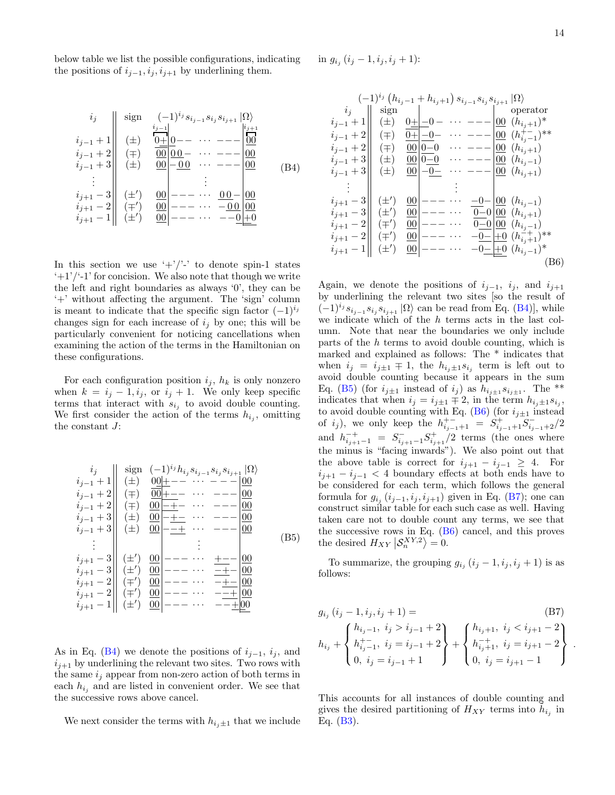below table we list the possible configurations, indicating the positions of  $i_{j-1}, i_j, i_{j+1}$  by underlining them.

<span id="page-13-1"></span>i<sup>j</sup> sign (−1)i<sup>j</sup> sij−<sup>1</sup> sij sij+1 |Ωi ij−<sup>1</sup> + 1 (±) ij−<sup>1</sup> 0+ 0−− · · · −−− ij+1 00 ij−<sup>1</sup> + 2 (∓) 00 0 0 − · · · −−− 00 ij−<sup>1</sup> + 3 (±) 00 − 0 0 · · · −−− 00 . . . . . . ij+1 − 3 (±<sup>0</sup> ) 00 −−− · · · 0 0 − 00 ij+1 − 2 (∓<sup>0</sup> ) 00 −−− · · · − 0 0 00 ij+1 − 1 (±<sup>0</sup> ) 00 −−− · · · −−0 +0 (B4)

In this section we use  $'+\frac{1}{2}$  to denote spin-1 states  $'+1'$ '-1' for concision. We also note that though we write the left and right boundaries as always '0', they can be '+' without affecting the argument. The 'sign' column is meant to indicate that the specific sign factor  $(-1)^{i_j}$ changes sign for each increase of  $i_j$  by one; this will be particularly convenient for noticing cancellations when examining the action of the terms in the Hamiltonian on these configurations.

For each configuration position  $i_j$ ,  $h_k$  is only nonzero when  $k = i_j - 1, i_j$ , or  $i_j + 1$ . We only keep specific terms that interact with  $s_{i_j}$  to avoid double counting. We first consider the action of the terms  $h_{i_j}$ , omitting the constant J:

<span id="page-13-2"></span>
$$
\begin{array}{c|c|c|c|c} i_j & \text{sign} & (-1)^{i_j} h_{i_j} s_{i_{j-1}} s_{i_j} s_{i_{j+1}} | \Omega \rangle \\ i_{j-1} + 1 & ( \pm ) & \frac{00 + - -}{00 + - -} & \cdots & - - - \frac{00}{00} \\ i_{j-1} + 2 & ( \mp ) & \frac{00 - + -}{0} & \cdots & - - - \frac{00}{00} \\ i_{j-1} + 3 & ( \pm ) & \frac{00 - + -}{0} & \cdots & - - - \frac{00}{00} \\ i_{j-1} + 3 & ( \pm ) & \frac{00 - + -}{0} & \cdots & - - - \frac{00}{00} \\ \vdots & \vdots & ( \pm ) & \frac{00 - - -}{0} & \cdots & - - - \frac{00}{00} \\ i_{j+1} - 3 & ( \pm') & \frac{00 - - -}{0} & \cdots & \frac{- + -}{0} \\ i_{j+1} - 2 & ( \mp') & \frac{00 - - -}{0} & \cdots & - - \frac{+ -}{0} \\ i_{j+1} - 1 & ( \pm') & \frac{00 - - -}{0} & \cdots & - - \frac{+ -}{0} \\ i_{j+1} - 1 & ( \pm') & \frac{00 - - -}{0} & \cdots & - - \frac{+ -}{0} \\ \end{array} \tag{B5}
$$

As in Eq. [\(B4\)](#page-13-1) we denote the positions of  $i_{j-1}, i_j$ , and  $i_{j+1}$  by underlining the relevant two sites. Two rows with the same  $i_j$  appear from non-zero action of both terms in each  $h_{i_j}$  and are listed in convenient order. We see that the successive rows above cancel.

We next consider the terms with  $h_{i, \pm 1}$  that we include

in  $g_{i_j}$   $(i_j - 1, i_j, i_j + 1)$ :

<span id="page-13-3"></span>
$$
\begin{array}{c}\n(-1)^{i_j} (h_{i_j-1} + h_{i_j+1}) s_{i_{j-1}} s_{i_j} s_{i_{j+1}} | \Omega \rangle \\
i_j \quad \text{sign} \\
i_{j-1} + 1 \quad \text{(pm)} \\
i_{j-1} + 2 \quad \text{(pm)} \\
i_{j-1} + 2 \quad \text{(pm)} \\
i_{j-1} + 3 \quad \text{(pm)} \\
i_{j-1} + 3 \quad \text{(pm)} \\
i_{j-1} + 3 \quad \text{(pm)} \\
i_{j+1} - 3 \quad \text{(pm)} \\
i_{j+1} - 2 \quad \text{(pm)} \\
i_{j+1} - 2 \quad \text{(pm)} \\
i_{j+1} - 1 \quad \text{(pm)} \\
00 \quad \text{---} \\
\text{---} \\
00 \quad \text{---} \\
\text{---} \\
\text{---} \\
\text{---} \\
\text{---} \\
\text{---} \\
\text{---} \\
\text{---} \\
\text{---} \\
\text{---} \\
\text{---} \\
\text{---} \\
\text{---} \\
\text{---} \\
\text{---} \\
\text{---} \\
\text{---} \\
\text{---} \\
\text{---} \\
\text{---} \\
\text{---} \\
\text{---} \\
\text{---} \\
\text{---} \\
\text{---} \\
\text{---} \\
\text{---} \\
\text{---} \\
\text{---} \\
\text{---} \\
\text{---} \\
\text{---} \\
\text{---} \\
\text{---} \\
\text{---} \\
\text{---} \\
\text{---} \\
\text{---} \\
\text{---} \\
\text{---} \\
\text{---} \\
\text{---} \\
\text{---} \\
\text{---} \\
\text{---} \\
\text{---} \\
\text{---} \\
\text{---} \\
\text{---} \\
\text{---} \\
\text{---} \\
\text{---} \\
\text{---} \\
\text{---} \\
\text{---} \\
\text{---} \\
\text{---} \\
\text{---} \\
\text{---} \\
\text{---} \\
\text{---} \\
\text{---} \\
\text{---} \\
\text{---} \\
\text{---} \\
\text{---} \\
\text{---} \\
\text{---} \\
\text{---} \\
\text{---} \\
\text{---} \\
\text{---} \\
\text{---} \\
\text{---} \\
\text{---} \\
\text{---} \\
\text{---} \\
\text{---} \\
\text{---} \\
\text{---} \\
\text{---} \\
\text{---} \\
\text{---} \\
\text{---
$$

Again, we denote the positions of  $i_{j-1}$ ,  $i_j$ , and  $i_{j+1}$ by underlining the relevant two sites [so the result of  $(-1)^{i_j} s_{i_{j-1}} s_{i_j} s_{i_{j+1}} |\Omega \rangle$  can be read from Eq. [\(B4\)](#page-13-1)], while we indicate which of the h terms acts in the last column. Note that near the boundaries we only include parts of the  $h$  terms to avoid double counting, which is marked and explained as follows: The \* indicates that when  $i_j = i_{j\pm 1} \mp 1$ , the  $h_{i_j\pm 1} s_{i_j}$  term is left out to avoid double counting because it appears in the sum Eq. [\(B5\)](#page-13-2) (for  $i_{j\pm 1}$  instead of  $i_j$ ) as  $h_{i_{j\pm 1}}s_{i_{j\pm 1}}$ . The \*\* indicates that when  $i_j = i_{j\pm 1} \mp 2$ , in the term  $h_{i_j \pm 1} s_{i_j}$ , to avoid double counting with Eq. [\(B6\)](#page-13-3) (for  $i_{j\pm 1}$  instead of  $i_j$ ), we only keep the  $h_{i_{j-1}+1}^{+-} = S^+_{i_{j-1}+1} = S^-_{i_{j-1}+2}$ and  $h_{i_{j+1}-1}^{-+} = S_{i_{j+1}-1}^{-} S_{i_{j+1}}^{+}/2$  terms (the ones where the minus is "facing inwards"). We also point out that the above table is correct for  $i_{j+1} - i_{j-1} \geq 4$ . For  $i_{j+1} - i_{j-1} < 4$  boundary effects at both ends have to be considered for each term, which follows the general formula for  $g_{i_j}$   $(i_{j-1}, i_j, i_{j+1})$  given in Eq. [\(B7\)](#page-13-0); one can construct similar table for each such case as well. Having taken care not to double count any terms, we see that the successive rows in Eq.  $(B6)$  cancel, and this proves the desired  $H_{XY}$  $\left| \mathcal{S}_n^{XY,2} \right\rangle = 0$ .

To summarize, the grouping  $g_{i_j}$   $(i_j - 1, i_j, i_j + 1)$  is as follows:

$$
g_{i_j} (i_j - 1, i_j, i_j + 1) =
$$
\n
$$
h_{i_j} + \begin{cases} h_{i_j - 1}, i_j > i_{j-1} + 2 \\ h_{i_j - 1}^+, i_j = i_{j-1} + 2 \\ 0, i_j = i_{j-1} + 1 \end{cases} + \begin{cases} h_{i_j + 1}, i_j < i_{j+1} - 2 \\ h_{i_j + 1}, i_j = i_{j+1} - 2 \\ 0, i_j = i_{j+1} - 1 \end{cases}
$$
\n(B7)

<span id="page-13-0"></span>.

This accounts for all instances of double counting and gives the desired partitioning of  $H_{XY}$  terms into  $\tilde{h}_{i_j}$  in Eq. [\(B3\)](#page-12-3).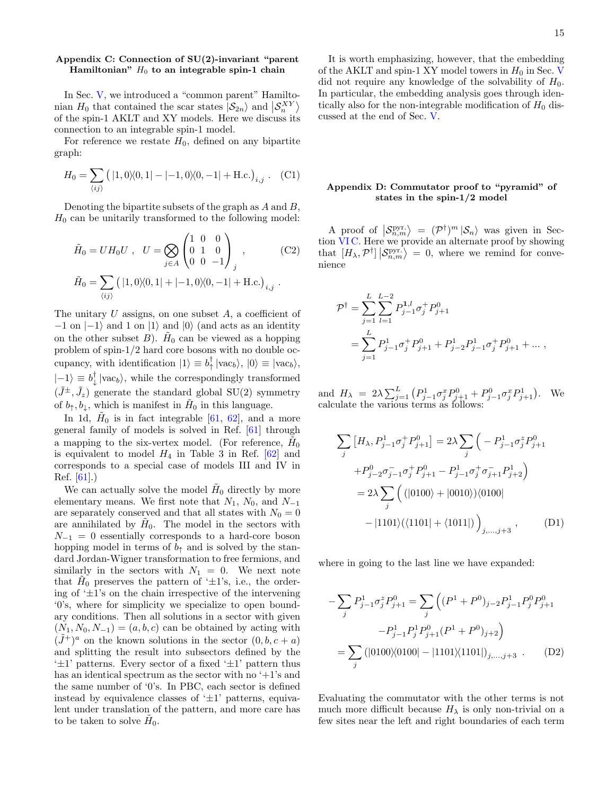# <span id="page-14-0"></span>Appendix C: Connection of SU(2)-invariant "parent Hamiltonian"  $H_0$  to an integrable spin-1 chain

In Sec. [V,](#page-7-0) we introduced a "common parent" Hamiltonian  $H_0$  that contained the scar states  $|S_{2n}\rangle$  and  $|S_n^{XY}\rangle$ of the spin-1 AKLT and XY models. Here we discuss its connection to an integrable spin-1 model.

For reference we restate  $H_0$ , defined on any bipartite graph:

$$
H_0 = \sum_{\langle ij \rangle} (|1, 0\rangle\langle 0, 1| - |-1, 0\rangle\langle 0, -1| + \text{H.c.})_{i,j} . \quad (C1)
$$

Denoting the bipartite subsets of the graph as  $A$  and  $B$ ,  $H_0$  can be unitarily transformed to the following model:

$$
\tilde{H}_0 = U H_0 U \ , \ U = \bigotimes_{j \in A} \begin{pmatrix} 1 & 0 & 0 \\ 0 & 1 & 0 \\ 0 & 0 & -1 \end{pmatrix}_j \ , \ (C2)
$$

$$
\tilde{H}_0 = \sum_{\langle ij \rangle} \left( |1, 0\rangle\langle0, 1| + |-1, 0\rangle\langle0, -1| + \text{H.c.} \right)_{i,j} .
$$

The unitary  $U$  assigns, on one subset  $A$ , a coefficient of  $-1$  on  $|-1\rangle$  and 1 on  $|1\rangle$  and  $|0\rangle$  (and acts as an identity on the other subset  $B$ ).  $H_0$  can be viewed as a hopping problem of spin-1/2 hard core bosons with no double occupancy, with identification  $|1\rangle \equiv b_{\uparrow}^{\dagger} |vac_b\rangle$ ,  $|0\rangle \equiv |vac_b\rangle$ ,  $|{-1}\rangle \equiv b_{\downarrow}^{\dagger} |{\rm vac}_b\rangle$ , while the correspondingly transformed  $(\tilde{J}^{\pm}, \tilde{J}_z)$  generate the standard global SU(2) symmetry of  $b_{\uparrow}, b_{\downarrow}$ , which is manifest in  $H_0$  in this language.

In 1d,  $H_0$  is in fact integrable [\[61,](#page-17-6) [62\]](#page-17-7), and a more general family of models is solved in Ref. [\[61\]](#page-17-6) through a mapping to the six-vertex model. (For reference,  $H_0$ is equivalent to model  $H_4$  in Table 3 in Ref. [\[62\]](#page-17-7) and corresponds to a special case of models III and IV in Ref. [\[61\]](#page-17-6).)

We can actually solve the model  $H_0$  directly by more elementary means. We first note that  $N_1$ ,  $N_0$ , and  $N_{-1}$ are separately conserved and that all states with  $N_0 = 0$ are annihilated by  $H_0$ . The model in the sectors with  $N_{-1} = 0$  essentially corresponds to a hard-core boson hopping model in terms of  $b_{\uparrow}$  and is solved by the standard Jordan-Wigner transformation to free fermions, and similarly in the sectors with  $N_1 = 0$ . We next note that  $\tilde{H}_0$  preserves the pattern of ' $\pm 1$ 's, i.e., the ordering of  $\pm 1$ 's on the chain irrespective of the intervening '0's, where for simplicity we specialize to open boundary conditions. Then all solutions in a sector with given  $(N_1, N_0, N_{-1}) = (a, b, c)$  can be obtained by acting with  $(\tilde{J}^+)^a$  on the known solutions in the sector  $(0, b, c + a)$ and splitting the result into subsectors defined by the  $\pm 1$ ' patterns. Every sector of a fixed  $\pm 1$ ' pattern thus has an identical spectrum as the sector with no  $+1$ 's and the same number of '0's. In PBC, each sector is defined instead by equivalence classes of  $\pm 1$ ' patterns, equivalent under translation of the pattern, and more care has to be taken to solve  $H_0$ .

It is worth emphasizing, however, that the embedding of the AKLT and spin-1 XY model towers in  $H_0$  in Sec. [V](#page-7-0) did not require any knowledge of the solvability of  $H_0$ . In particular, the embedding analysis goes through identically also for the non-integrable modification of  $H_0$  discussed at the end of Sec. [V.](#page-7-0)

# <span id="page-14-1"></span>Appendix D: Commutator proof to "pyramid" of states in the spin-1/2 model

A proof of  $\langle \mathcal{S}_{n,m}^{\text{pyr.}} \rangle = (\mathcal{P}^{\dagger})^m |\mathcal{S}_n\rangle$  was given in Section [VI C.](#page-10-0) Here we provide an alternate proof by showing that  $[H_{\lambda}, \mathcal{P}^{\dagger}] | \mathcal{S}_{n,m}^{\text{pyr.}} \rangle = 0$ , where we remind for convenience

$$
\mathcal{P}^{\dagger} = \sum_{j=1}^{L} \sum_{l=1}^{L-2} P_{j-1}^{1,l} \sigma_j^+ P_{j+1}^0
$$
  
= 
$$
\sum_{j=1}^{L} P_{j-1}^1 \sigma_j^+ P_{j+1}^0 + P_{j-2}^1 P_{j-1}^1 \sigma_j^+ P_{j+1}^0 + \dots ,
$$

and  $H_{\lambda} = 2\lambda \sum_{j=1}^{L} (P_{j-1}^1 \sigma_j^x P_{j+1}^0 + P_{j-1}^0 \sigma_j^x P_{j+1}^1)$ . We calculate the various terms as follows:

<span id="page-14-3"></span>
$$
\sum_{j} \left[ H_{\lambda}, P_{j-1}^{1} \sigma_{j}^{+} P_{j+1}^{0} \right] = 2\lambda \sum_{j} \left( -P_{j-1}^{1} \sigma_{j}^{z} P_{j+1}^{0} + P_{j-2}^{0} \sigma_{j-1}^{-} \sigma_{j}^{+} P_{j+1}^{0} - P_{j-1}^{1} \sigma_{j}^{+} \sigma_{j+1}^{-} P_{j+2}^{1} \right)
$$

$$
= 2\lambda \sum_{j} \left( (|0100\rangle + |0010\rangle)(0100| -|1101\rangle((1101| + \langle 1011|)) \right)_{j,\dots,j+3}, \qquad (D1)
$$

where in going to the last line we have expanded:

<span id="page-14-2"></span>
$$
-\sum_{j} P_{j-1}^{1} \sigma_{j}^{z} P_{j+1}^{0} = \sum_{j} \left( (P^{1} + P^{0})_{j-2} P_{j-1}^{1} P_{j}^{0} P_{j+1}^{0} - P_{j-1}^{1} P_{j}^{1} P_{j+1}^{0} (P^{1} + P^{0})_{j+2} \right)
$$

$$
= \sum_{j} \left( |0100\rangle\langle0100| - |1101\rangle\langle1101| \right)_{j,\ldots,j+3} . \tag{D2}
$$

Evaluating the commutator with the other terms is not much more difficult because  $H_{\lambda}$  is only non-trivial on a few sites near the left and right boundaries of each term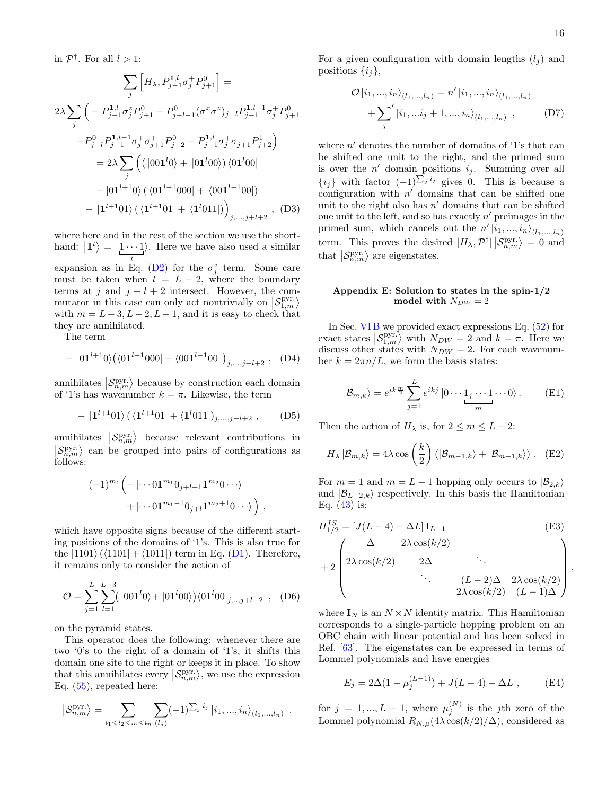,

in  $\mathcal{P}^{\dagger}$ . For all  $l > 1$ :

$$
\sum_{j} \left[ H_{\lambda}, P_{j-1}^{1,l} \sigma_{j}^{+} P_{j+1}^{0} \right] =
$$
  
\n
$$
2\lambda \sum_{j} \left( -P_{j-1}^{1,l} \sigma_{j}^{z} P_{j+1}^{0} + P_{j-l-1}^{0} (\sigma^{x} \sigma^{z})_{j-l} P_{j-1}^{1,l-1} \sigma_{j}^{+} P_{j+1}^{0} \right.
$$
  
\n
$$
-P_{j-l}^{0} P_{j-1}^{1,l-1} \sigma_{j}^{+} \sigma_{j+1}^{+} P_{j+2}^{0} - P_{j-1}^{1,l} \sigma_{j}^{+} \sigma_{j+1}^{-} P_{j+2}^{1} \right)
$$
  
\n
$$
= 2\lambda \sum_{j} \left( (\left| 001^{l} 0 \right\rangle + \left| 01^{l} 00 \right\rangle) \left\langle 01^{l} 00 \right| - \left| 01^{l+1} 0 \right\rangle \left( \left\langle 01^{l-1} 000 \right| + \left\langle 001^{l-1} 00 \right| \right) - \left| 1^{l+1} 01 \right\rangle \left( \left\langle 1^{l+1} 01 \right| + \left\langle 1^{l} 011 \right| \right) \right)_{j,...,j+l+2}, \quad (D3)
$$

where here and in the rest of the section we use the shorthand:  $|1^{l}\rangle = |1 \cdots 1\rangle$ . Here we have also used a similar l

expansion as in Eq. [\(D2\)](#page-14-2) for the  $\sigma_j^z$  term. Some care must be taken when  $l = L - 2$ , where the boundary terms at j and  $j + l + 2$  intersect. However, the commutator in this case can only act nontrivially on  $\left| \mathcal{S}_{1,m}^{\text{pyr}} \right\rangle$ with  $m = L - 3, L - 2, L - 1$ , and it is easy to check that they are annihilated.

The term

$$
- |01^{l+1}0\rangle \big( \langle 01^{l-1}000| + \langle 001^{l-1}00| \big)_{j,\ldots,j+l+2} , \quad (D4)
$$

annihilates  $\left|\mathcal{S}_{n,m}^{\text{pyr.}}\right\rangle$  because by construction each domain of '1's has wavenumber  $k = \pi$ . Likewise, the term

$$
- |1^{l+1}01\rangle \left( \langle 1^{l+1}01| + \langle 1^{l}011| \rangle_{j,\ldots,j+l+2} \right), \qquad (D5)
$$

annihilates  $\left| \mathcal{S}_{n,m}^{\text{pyr.}} \right\rangle$  because relevant contributions in  $\left| \mathcal{S}_{n,m}^{\text{pyr.}} \right\rangle$  can be grouped into pairs of configurations as follows:

$$
(-1)^{m_1} \left( -|\cdots 01^{m_1} 0_{j+l+1} 1^{m_2} 0 \cdots \right) + |\cdots 01^{m_1-1} 0_{j+l} 1^{m_2+1} 0 \cdots \rangle \right),
$$

which have opposite signs because of the different starting positions of the domains of '1's. This is also true for the  $|1101\rangle$  ( $\langle 1101| + \langle 1011| \rangle$ ) term in Eq. [\(D1\)](#page-14-3). Therefore, it remains only to consider the action of

$$
\mathcal{O} = \sum_{j=1}^{L} \sum_{l=1}^{L-3} (|001^{l}0\rangle + |01^{l}00\rangle) \langle 01^{l}00|_{j,..,j+l+2} , \quad (D6)
$$

on the pyramid states.

This operator does the following: whenever there are two '0's to the right of a domain of '1's, it shifts this domain one site to the right or keeps it in place. To show that this annihilates every  $\langle S_{n,m}^{\text{pyr.}} \rangle$ , we use the expression Eq. [\(55\)](#page-10-2), repeated here:

$$
\left| S_{n,m}^{\text{pyr.}} \right\rangle = \sum_{i_1 < i_2 < \ldots < i_n} \sum_{(l_j)} (-1)^{\sum_j i_j} \left| i_1, ..., i_n \right\rangle_{(l_1, ..., l_n)} .
$$

For a given configuration with domain lengths  $(l_i)$  and positions  $\{i_j\},\$ 

$$
\mathcal{O}|i_1, ..., i_n\rangle_{(l_1, ..., l_n)} = n'|i_1, ..., i_n\rangle_{(l_1, ..., l_n)}
$$
  
+ 
$$
\sum_{j}^{\prime} |i_1, ..., i_j + 1, ..., i_n\rangle_{(l_1, ..., l_n)},
$$
 (D7)

where  $n'$  denotes the number of domains of '1's that can be shifted one unit to the right, and the primed sum is over the  $n'$  domain positions  $i_j$ . Summing over all  $\{i_j\}$  with factor  $(-1)^{\sum_j i_j}$  gives 0. This is because a configuration with  $n'$  domains that can be shifted one unit to the right also has  $n'$  domains that can be shifted one unit to the left, and so has exactly  $n'$  preimages in the primed sum, which cancels out the  $n' | i_1, ..., i_n \rangle_{(l_1, ..., l_n)}$ term. This proves the desired  $[H_{\lambda}, \mathcal{P}^{\dagger}] | \mathcal{S}_{n,m}^{\text{pyr.}} \rangle = 0$  and that  $\left| \mathcal{S}^{\text{pyr.}}_{n,m} \right\rangle$  are eigenstates.

## <span id="page-15-0"></span>Appendix E: Solution to states in the spin-1/2 model with  $N_{DW} = 2$

In Sec. [VI B](#page-9-0) we provided exact expressions Eq. [\(52\)](#page-9-3) for exact states  $\langle S_{1,m}^{\text{pyr}} \rangle$  with  $N_{DW} = 2$  and  $k = \pi$ . Here we discuss other states with  $N_{DW} = 2$ . For each wavenumber  $k = 2\pi n/L$ , we form the basis states:

$$
|\mathcal{B}_{m,k}\rangle = e^{ik\frac{m}{2}} \sum_{j=1}^{L} e^{ikj} |0 \cdots 1_j \cdots 1 \cdots 0\rangle.
$$
 (E1)

Then the action of  $H_{\lambda}$  is, for  $2 \leq m \leq L - 2$ :

$$
H_{\lambda} | B_{m,k} \rangle = 4\lambda \cos\left(\frac{k}{2}\right) \left( |B_{m-1,k} \rangle + |B_{m+1,k} \rangle \right). \quad (E2)
$$

For  $m = 1$  and  $m = L - 1$  hopping only occurs to  $|\mathcal{B}_{2,k}\rangle$ and  $|\mathcal{B}_{L-2,k}\rangle$  respectively. In this basis the Hamiltonian Eq.  $(43)$  is:

$$
H_{1/2}^{IS} = [J(L-4) - \Delta L] \mathbf{I}_{L-1}
$$
\n
$$
+ 2 \begin{pmatrix} \Delta & 2\lambda \cos(k/2) \\ 2\lambda \cos(k/2) & 2\Delta & \cdots \\ \cdots & \cdots & \cdots \\ 2\lambda \cos(k/2) & (L-2)\Delta & 2\lambda \cos(k/2) \\ 2\lambda \cos(k/2) & (L-1)\Delta \end{pmatrix}
$$
\n(E3)

where  $I_N$  is an  $N \times N$  identity matrix. This Hamiltonian corresponds to a single-particle hopping problem on an OBC chain with linear potential and has been solved in Ref. [\[63\]](#page-17-8). The eigenstates can be expressed in terms of Lommel polynomials and have energies

$$
E_j = 2\Delta(1 - \mu_j^{(L-1)}) + J(L-4) - \Delta L , \qquad (E4)
$$

for  $j = 1, ..., L - 1$ , where  $\mu_j^{(N)}$  is the jth zero of the Lommel polynomial  $R_{N,\mu}(4\lambda \cos(k/2)/\Delta)$ , considered as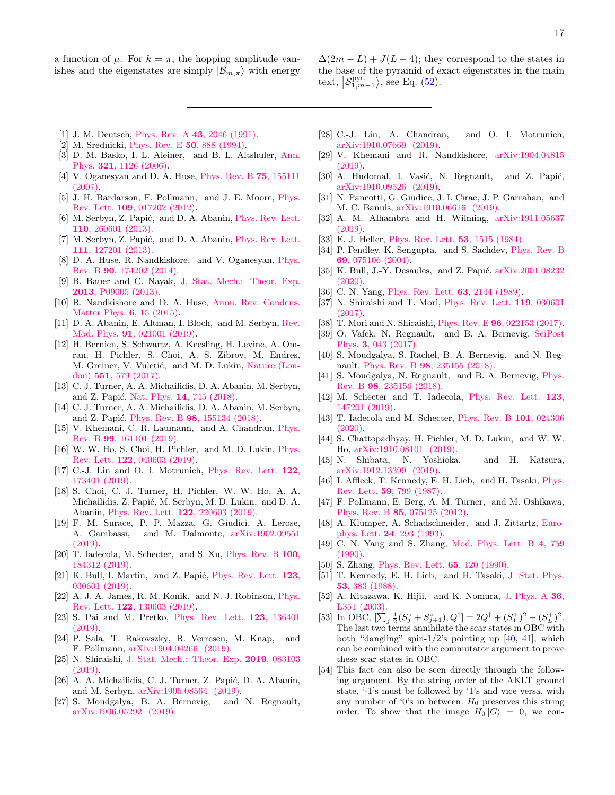a function of  $\mu$ . For  $k = \pi$ , the hopping amplitude vanishes and the eigenstates are simply  $|\mathcal{B}_{m,\pi}\rangle$  with energy

- $\Delta(2m L) + J(L 4)$ ; they correspond to the states in the base of the pyramid of exact eigenstates in the main text,  $\left| \mathcal{S}_{1,m-1}^{\text{pyr}} \right\rangle$ , see Eq. [\(52\)](#page-9-3).
- <span id="page-16-0"></span>[1] J. M. Deutsch, Phys. Rev. A **43**[, 2046 \(1991\).](http://dx.doi.org/10.1103/PhysRevA.43.2046)
- <span id="page-16-1"></span>[2] M. Srednicki, [Phys. Rev. E](http://dx.doi.org/10.1103/PhysRevE.50.888) 50, 888 (1994).
- <span id="page-16-2"></span>[3] D. M. Basko, I. L. Aleiner, and B. L. Altshuler, [Ann.](http://dx.doi.org/10.1016/j.aop.2005.11.014) Phys. 321[, 1126 \(2006\).](http://dx.doi.org/10.1016/j.aop.2005.11.014)
- [4] V. Oganesyan and D. A. Huse, [Phys. Rev. B](http://dx.doi.org/10.1103/PhysRevB.75.155111) 75, 155111 [\(2007\).](http://dx.doi.org/10.1103/PhysRevB.75.155111)
- [5] J. H. Bardarson, F. Pollmann, and J. E. Moore, [Phys.](http://dx.doi.org/10.1103/PhysRevLett.109.017202) Rev. Lett. 109[, 017202 \(2012\).](http://dx.doi.org/10.1103/PhysRevLett.109.017202)
- [6] M. Serbyn, Z. Papić, and D. A. Abanin, [Phys. Rev. Lett.](http://dx.doi.org/ 10.1103/PhysRevLett.110.260601) 110[, 260601 \(2013\).](http://dx.doi.org/ 10.1103/PhysRevLett.110.260601)
- [7] M. Serbyn, Z. Papić, and D. A. Abanin, [Phys. Rev. Lett.](http://dx.doi.org/ 10.1103/PhysRevLett.111.127201) 111[, 127201 \(2013\).](http://dx.doi.org/ 10.1103/PhysRevLett.111.127201)
- [8] D. A. Huse, R. Nandkishore, and V. Oganesyan, [Phys.](http://dx.doi.org/10.1103/PhysRevB.90.174202) Rev. B 90[, 174202 \(2014\).](http://dx.doi.org/10.1103/PhysRevB.90.174202)
- [9] B. Bauer and C. Nayak, [J. Stat. Mech.: Theor. Exp.](http://dx.doi.org/10.1088/1742-5468/2013/09/p09005) 2013[, P09005 \(2013\).](http://dx.doi.org/10.1088/1742-5468/2013/09/p09005)
- [10] R. Nandkishore and D. A. Huse, [Annu. Rev. Condens.](http://dx.doi.org/10.1146/annurev-conmatphys-031214-014726) [Matter Phys.](http://dx.doi.org/10.1146/annurev-conmatphys-031214-014726) 6, 15 (2015).
- <span id="page-16-3"></span>[11] D. A. Abanin, E. Altman, I. Bloch, and M. Serbyn, [Rev.](http://dx.doi.org/ 10.1103/RevModPhys.91.021001) Mod. Phys. 91[, 021001 \(2019\).](http://dx.doi.org/ 10.1103/RevModPhys.91.021001)
- <span id="page-16-4"></span>[12] H. Bernien, S. Schwartz, A. Keesling, H. Levine, A. Omran, H. Pichler, S. Choi, A. S. Zibrov, M. Endres, M. Greiner, V. Vuletić, and M. D. Lukin, [Nature \(Lon](http://dx.doi.org/ 10.1038/nature24622)don) 551[, 579 \(2017\).](http://dx.doi.org/ 10.1038/nature24622)
- <span id="page-16-5"></span>[13] C. J. Turner, A. A. Michailidis, D. A. Abanin, M. Serbyn, and Z. Papić, Nat. Phys. 14[, 745 \(2018\).](http://dx.doi.org/ 10.1038/s41567-018-0137-5)
- <span id="page-16-13"></span>[14] C. J. Turner, A. A. Michailidis, D. A. Abanin, M. Serbyn, and Z. Papić, Phys. Rev. B 98[, 155134 \(2018\).](http://dx.doi.org/ 10.1103/PhysRevB.98.155134)
- [15] V. Khemani, C. R. Laumann, and A. Chandran, [Phys.](https://link.aps.org/doi/10.1103/PhysRevB.99.161101) Rev. B 99[, 161101 \(2019\).](https://link.aps.org/doi/10.1103/PhysRevB.99.161101)
- <span id="page-16-14"></span>[16] W. W. Ho, S. Choi, H. Pichler, and M. D. Lukin, [Phys.](http://dx.doi.org/ 10.1103/PhysRevLett.122.040603) Rev. Lett. 122[, 040603 \(2019\).](http://dx.doi.org/ 10.1103/PhysRevLett.122.040603)
- <span id="page-16-15"></span>[17] C.-J. Lin and O. I. Motrunich, [Phys. Rev. Lett.](http://dx.doi.org/10.1103/PhysRevLett.122.173401) 122, [173401 \(2019\).](http://dx.doi.org/10.1103/PhysRevLett.122.173401)
- [18] S. Choi, C. J. Turner, H. Pichler, W. W. Ho, A. A. Michailidis, Z. Papić, M. Serbyn, M. D. Lukin, and D. A. Abanin, [Phys. Rev. Lett.](http://dx.doi.org/ 10.1103/PhysRevLett.122.220603) 122, 220603 (2019).
- <span id="page-16-16"></span>[19] F. M. Surace, P. P. Mazza, G. Giudici, A. Lerose, A. Gambassi, and M. Dalmonte, [arXiv:1902.09551](http://arxiv.org/abs/1902.09551) [\(2019\).](http://arxiv.org/abs/1902.09551)
- <span id="page-16-8"></span>[20] T. Iadecola, M. Schecter, and S. Xu, [Phys. Rev. B](https://link.aps.org/doi/10.1103/PhysRevB.100.184312) 100, [184312 \(2019\).](https://link.aps.org/doi/10.1103/PhysRevB.100.184312)
- [21] K. Bull, I. Martin, and Z. Papić, [Phys. Rev. Lett.](http://dx.doi.org/ 10.1103/PhysRevLett.123.030601)  $123$ , [030601 \(2019\).](http://dx.doi.org/ 10.1103/PhysRevLett.123.030601)
- [22] A. J. A. James, R. M. Konik, and N. J. Robinson, [Phys.](http://dx.doi.org/10.1103/PhysRevLett.122.130603) Rev. Lett. 122[, 130603 \(2019\).](http://dx.doi.org/10.1103/PhysRevLett.122.130603)
- [23] S. Pai and M. Pretko, [Phys. Rev. Lett.](http://dx.doi.org/10.1103/PhysRevLett.123.136401) 123, 136401  $(2019)$ .
- [24] P. Sala, T. Rakovszky, R. Verresen, M. Knap, and F. Pollmann, [arXiv:1904.04266 \(2019\).](https://arxiv.org/abs/1904.04266)
- <span id="page-16-9"></span>[25] N. Shiraishi, [J. Stat. Mech.: Theor. Exp.](http://dx.doi.org/10.1088/1742-5468/ab342e) 2019, 083103 [\(2019\).](http://dx.doi.org/10.1088/1742-5468/ab342e)
- [26] A. A. Michailidis, C. J. Turner, Z. Papić, D. A. Abanin, and M. Serbyn, [arXiv:1905.08564 \(2019\).](http://arxiv.org/abs/1905.08564)
- [27] S. Moudgalya, B. A. Bernevig, and N. Regnault, [arXiv:1906.05292 \(2019\).](http://arxiv.org/abs/1906.05292)
- <span id="page-16-10"></span>[28] C.-J. Lin, A. Chandran, and O. I. Motrunich, [arXiv:1910.07669 \(2019\).](http://arxiv.org/abs/1910.07669)
- [29] V. Khemani and R. Nandkishore, [arXiv:1904.04815](http://arxiv.org/abs/1904.04815) [\(2019\).](http://arxiv.org/abs/1904.04815)
- [30] A. Hudomal, I. Vasić, N. Regnault, and Z. Papić, [arXiv:1910.09526 \(2019\).](http://arxiv.org/abs/1910.09526)
- [31] N. Pancotti, G. Giudice, J. I. Cirac, J. P. Garrahan, and M. C. Ba˜nuls, [arXiv:1910.06616 \(2019\).](http://arxiv.org/abs/1910.06616)
- <span id="page-16-6"></span>[32] A. M. Alhambra and H. Wilming, [arXiv:1911.05637](http://arxiv.org/abs/1911.05637) [\(2019\).](http://arxiv.org/abs/1911.05637)
- <span id="page-16-7"></span>[33] E. J. Heller, [Phys. Rev. Lett.](http://dx.doi.org/10.1103/PhysRevLett.53.1515) **53**, 1515 (1984).
- <span id="page-16-11"></span>[34] P. Fendley, K. Sengupta, and S. Sachdev, [Phys. Rev. B](http://dx.doi.org/10.1103/PhysRevB.69.075106) 69[, 075106 \(2004\).](http://dx.doi.org/10.1103/PhysRevB.69.075106)
- <span id="page-16-12"></span>[35] K. Bull, J.-Y. Desaules, and Z. Papić, [arXiv:2001.08232](http://arxiv.org/abs/2001.08232) [\(2020\).](http://arxiv.org/abs/2001.08232)
- <span id="page-16-17"></span>[36] C. N. Yang, [Phys. Rev. Lett.](http://dx.doi.org/10.1103/PhysRevLett.63.2144) **63**, 2144 (1989).
- <span id="page-16-28"></span>[37] N. Shiraishi and T. Mori, [Phys. Rev. Lett.](http://dx.doi.org/10.1103/PhysRevLett.119.030601) 119, 030601 [\(2017\).](http://dx.doi.org/10.1103/PhysRevLett.119.030601)
- [38] T. Mori and N. Shiraishi, Phys. Rev. E 96[, 022153 \(2017\).](http://dx.doi.org/10.1103/PhysRevE.96.022153)
- [39] O. Vafek, N. Regnault, and B. A. Bernevig, [SciPost](https://scipost.org/10.21468/SciPostPhys.3.6.043) Phys. 3[, 043 \(2017\).](https://scipost.org/10.21468/SciPostPhys.3.6.043)
- <span id="page-16-19"></span>[40] S. Moudgalya, S. Rachel, B. A. Bernevig, and N. Regnault, Phys. Rev. B 98[, 235155 \(2018\).](http://dx.doi.org/10.1103/PhysRevB.98.235155)
- <span id="page-16-21"></span>[41] S. Moudgalya, N. Regnault, and B. A. Bernevig, [Phys.](http://dx.doi.org/10.1103/PhysRevB.98.235156) Rev. B 98[, 235156 \(2018\).](http://dx.doi.org/10.1103/PhysRevB.98.235156)
- <span id="page-16-24"></span>[42] M. Schecter and T. Iadecola, [Phys. Rev. Lett.](http://dx.doi.org/10.1103/PhysRevLett.123.147201) 123, [147201 \(2019\).](http://dx.doi.org/10.1103/PhysRevLett.123.147201)
- <span id="page-16-25"></span>[43] T. Iadecola and M. Schecter, [Phys. Rev. B](http://dx.doi.org/10.1103/PhysRevB.101.024306) **101**, 024306 [\(2020\).](http://dx.doi.org/10.1103/PhysRevB.101.024306)
- <span id="page-16-30"></span>[44] S. Chattopadhyay, H. Pichler, M. D. Lukin, and W. W. Ho, [arXiv:1910.08101 \(2019\).](http://arxiv.org/abs/1910.08101)
- <span id="page-16-18"></span>[45] N. Shibata, N. Yoshioka, and H. Katsura, [arXiv:1912.13399 \(2019\).](http://arxiv.org/abs/1912.13399)
- <span id="page-16-20"></span>[46] I. Affleck, T. Kennedy, E. H. Lieb, and H. Tasaki, [Phys.](http://dx.doi.org/10.1103/PhysRevLett.59.799) Rev. Lett. 59[, 799 \(1987\).](http://dx.doi.org/10.1103/PhysRevLett.59.799)
- <span id="page-16-22"></span>[47] F. Pollmann, E. Berg, A. M. Turner, and M. Oshikawa, Phys. Rev. B 85[, 075125 \(2012\).](https://link.aps.org/doi/10.1103/PhysRevB.85.075125)
- <span id="page-16-23"></span>[48] A. Klümper, A. Schadschneider, and J. Zittartz, [Euro](http://dx.doi.org/10.1209/0295-5075/24/4/010)phys. Lett. 24[, 293 \(1993\).](http://dx.doi.org/10.1209/0295-5075/24/4/010)
- <span id="page-16-26"></span>[49] C. N. Yang and S. Zhang, [Mod. Phys. Lett. B](http://dx.doi.org/10.1142/S0217984990000933) 4, 759  $(1990)$ .
- <span id="page-16-27"></span>[50] S. Zhang, [Phys. Rev. Lett.](http://dx.doi.org/10.1103/PhysRevLett.65.120) **65**, 120 (1990).
- <span id="page-16-29"></span>[51] T. Kennedy, E. H. Lieb, and H. Tasaki, [J. Stat. Phys.](http://dx.doi.org/10.1007/BF01011563) 53[, 383 \(1988\).](http://dx.doi.org/10.1007/BF01011563)
- <span id="page-16-31"></span>[52] A. Kitazawa, K. Hijii, and K. Nomura, [J. Phys. A](http://dx.doi.org/10.1088/0305-4470/36/23/104) 36, [L351 \(2003\).](http://dx.doi.org/10.1088/0305-4470/36/23/104)
- <span id="page-16-32"></span>[53] In OBC,  $[\sum_j \frac{1}{2}(S_j^z + S_{j+1}^z), Q^{\dagger}] = 2Q^{\dagger} + (S_1^+)^2 - (S_L^+)^2$ . The last two terms annihilate the scar states in OBC with both "dangling" spin- $1/2$ 's pointing up  $[40, 41]$  $[40, 41]$  $[40, 41]$ , which can be combined with the commutator argument to prove these scar states in OBC.
- <span id="page-16-33"></span>[54] This fact can also be seen directly through the following argument. By the string order of the AKLT ground state, '-1's must be followed by '1's and vice versa, with any number of '0's in between.  $H_0$  preserves this string order. To show that the image  $H_0 |G\rangle = 0$ , we con-